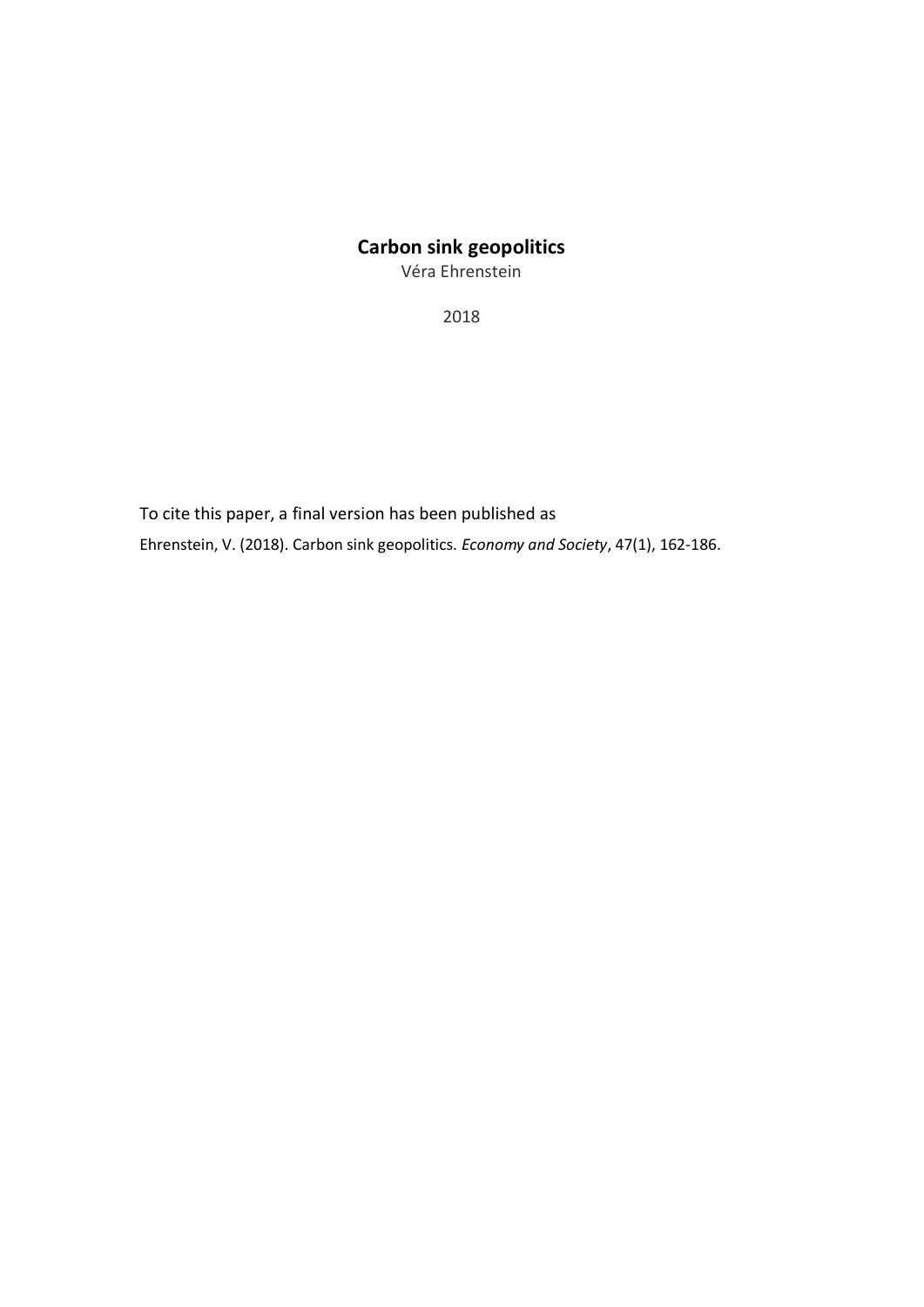# **Carbon sink geopolitics**

Véra Ehrenstein

2018

To cite this paper, a final version has been published as Ehrenstein, V. (2018). Carbon sink geopolitics. *Economy and Society*, 47(1), 162-186.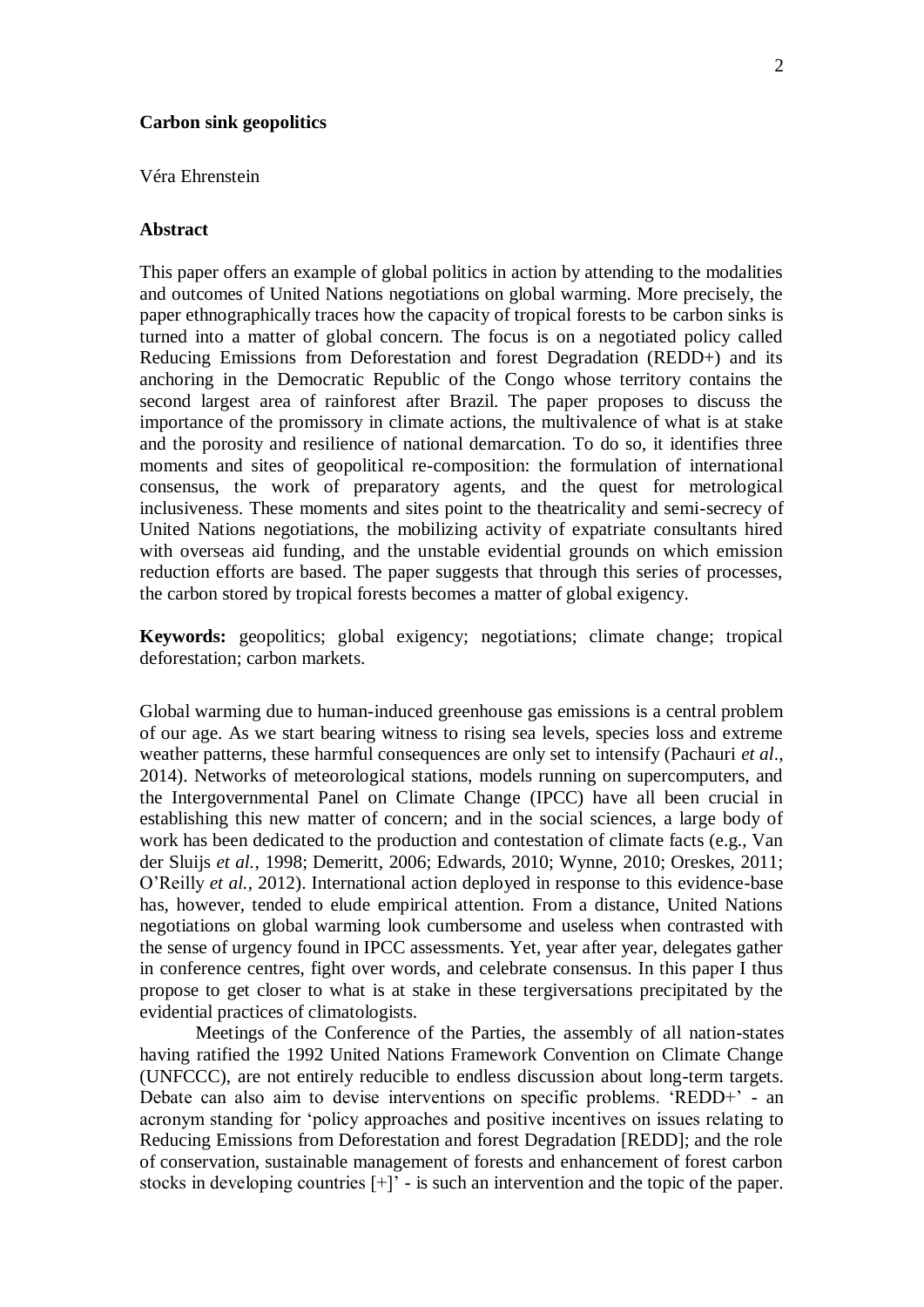## **Carbon sink geopolitics**

#### Véra Ehrenstein

## **Abstract**

This paper offers an example of global politics in action by attending to the modalities and outcomes of United Nations negotiations on global warming. More precisely, the paper ethnographically traces how the capacity of tropical forests to be carbon sinks is turned into a matter of global concern. The focus is on a negotiated policy called Reducing Emissions from Deforestation and forest Degradation (REDD+) and its anchoring in the Democratic Republic of the Congo whose territory contains the second largest area of rainforest after Brazil. The paper proposes to discuss the importance of the promissory in climate actions, the multivalence of what is at stake and the porosity and resilience of national demarcation. To do so, it identifies three moments and sites of geopolitical re-composition: the formulation of international consensus, the work of preparatory agents, and the quest for metrological inclusiveness. These moments and sites point to the theatricality and semi-secrecy of United Nations negotiations, the mobilizing activity of expatriate consultants hired with overseas aid funding, and the unstable evidential grounds on which emission reduction efforts are based. The paper suggests that through this series of processes, the carbon stored by tropical forests becomes a matter of global exigency.

**Keywords:** geopolitics; global exigency; negotiations; climate change; tropical deforestation; carbon markets.

Global warming due to human-induced greenhouse gas emissions is a central problem of our age. As we start bearing witness to rising sea levels, species loss and extreme weather patterns, these harmful consequences are only set to intensify (Pachauri *et al*., 2014). Networks of meteorological stations, models running on supercomputers, and the Intergovernmental Panel on Climate Change (IPCC) have all been crucial in establishing this new matter of concern; and in the social sciences, a large body of work has been dedicated to the production and contestation of climate facts (e.g., Van der Sluijs *et al.*, 1998; Demeritt, 2006; Edwards, 2010; Wynne, 2010; Oreskes, 2011; O'Reilly *et al.*, 2012). International action deployed in response to this evidence-base has, however, tended to elude empirical attention. From a distance, United Nations negotiations on global warming look cumbersome and useless when contrasted with the sense of urgency found in IPCC assessments. Yet, year after year, delegates gather in conference centres, fight over words, and celebrate consensus. In this paper I thus propose to get closer to what is at stake in these tergiversations precipitated by the evidential practices of climatologists.

Meetings of the Conference of the Parties, the assembly of all nation-states having ratified the 1992 United Nations Framework Convention on Climate Change (UNFCCC), are not entirely reducible to endless discussion about long-term targets. Debate can also aim to devise interventions on specific problems. 'REDD+' - an acronym standing for 'policy approaches and positive incentives on issues relating to Reducing Emissions from Deforestation and forest Degradation [REDD]; and the role of conservation, sustainable management of forests and enhancement of forest carbon stocks in developing countries [+]' - is such an intervention and the topic of the paper.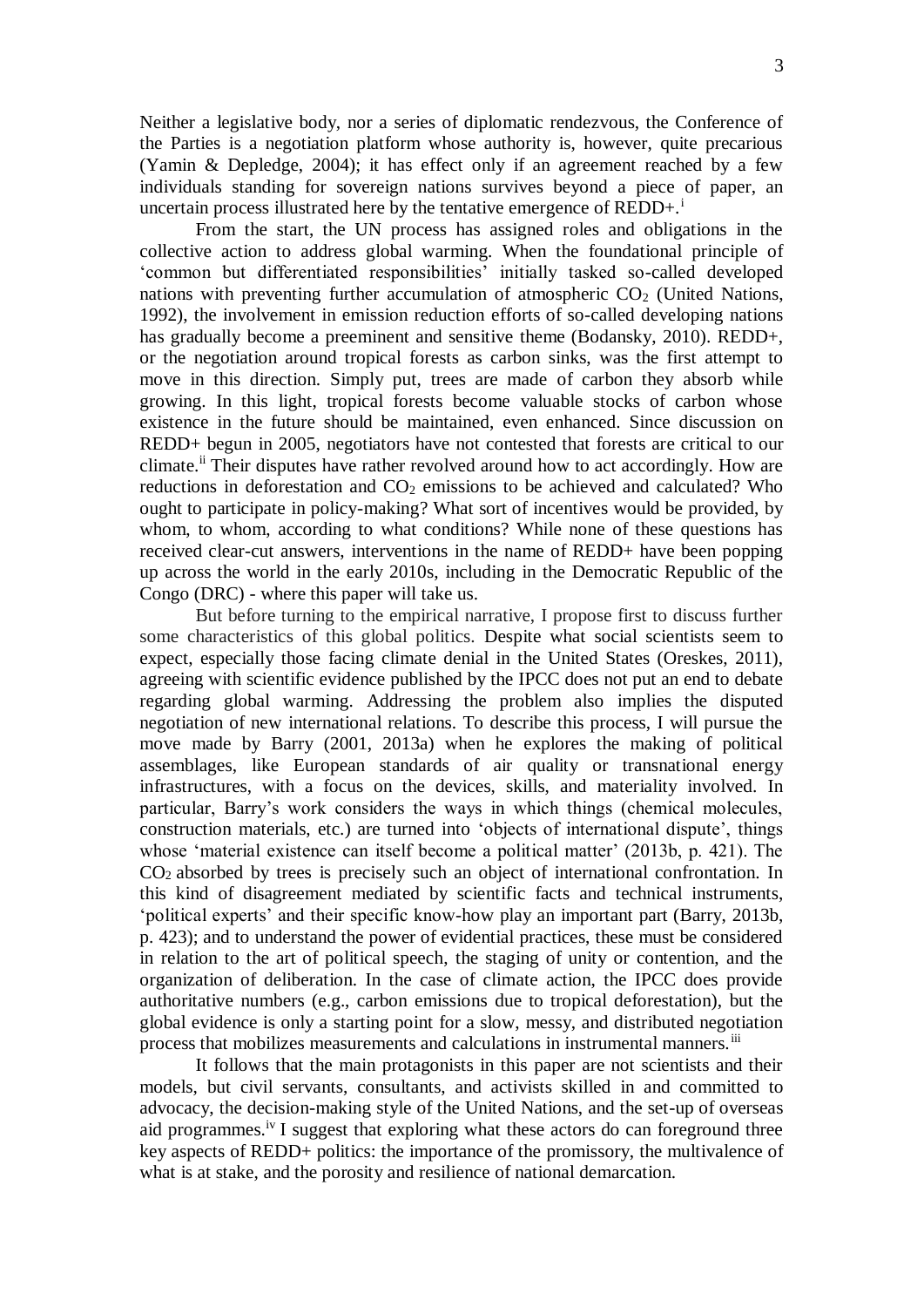Neither a legislative body, nor a series of diplomatic rendezvous, the Conference of the Parties is a negotiation platform whose authority is, however, quite precarious (Yamin & Depledge, 2004); it has effect only if an agreement reached by a few individuals standing for sovereign nations survives beyond a piece of paper, an uncertain process illustrated here by the tentative emergence of  $REDD+$ <sup>i</sup>

From the start, the UN process has assigned roles and obligations in the collective action to address global warming. When the foundational principle of 'common but differentiated responsibilities' initially tasked so-called developed nations with preventing further accumulation of atmospheric  $CO<sub>2</sub>$  (United Nations, 1992), the involvement in emission reduction efforts of so-called developing nations has gradually become a preeminent and sensitive theme (Bodansky, 2010). REDD+, or the negotiation around tropical forests as carbon sinks, was the first attempt to move in this direction. Simply put, trees are made of carbon they absorb while growing. In this light, tropical forests become valuable stocks of carbon whose existence in the future should be maintained, even enhanced. Since discussion on REDD+ begun in 2005, negotiators have not contested that forests are critical to our climate.ii Their disputes have rather revolved around how to act accordingly. How are reductions in deforestation and  $CO<sub>2</sub>$  emissions to be achieved and calculated? Who ought to participate in policy-making? What sort of incentives would be provided, by whom, to whom, according to what conditions? While none of these questions has received clear-cut answers, interventions in the name of REDD+ have been popping up across the world in the early 2010s, including in the Democratic Republic of the Congo (DRC) - where this paper will take us.

But before turning to the empirical narrative, I propose first to discuss further some characteristics of this global politics. Despite what social scientists seem to expect, especially those facing climate denial in the United States (Oreskes, 2011), agreeing with scientific evidence published by the IPCC does not put an end to debate regarding global warming. Addressing the problem also implies the disputed negotiation of new international relations. To describe this process, I will pursue the move made by Barry (2001, 2013a) when he explores the making of political assemblages, like European standards of air quality or transnational energy infrastructures, with a focus on the devices, skills, and materiality involved. In particular, Barry's work considers the ways in which things (chemical molecules, construction materials, etc.) are turned into 'objects of international dispute', things whose 'material existence can itself become a political matter' (2013b, p. 421). The CO2 absorbed by trees is precisely such an object of international confrontation. In this kind of disagreement mediated by scientific facts and technical instruments, 'political experts' and their specific know-how play an important part (Barry, 2013b, p. 423); and to understand the power of evidential practices, these must be considered in relation to the art of political speech, the staging of unity or contention, and the organization of deliberation. In the case of climate action, the IPCC does provide authoritative numbers (e.g., carbon emissions due to tropical deforestation), but the global evidence is only a starting point for a slow, messy, and distributed negotiation process that mobilizes measurements and calculations in instrumental manners.<sup>iii</sup>

It follows that the main protagonists in this paper are not scientists and their models, but civil servants, consultants, and activists skilled in and committed to advocacy, the decision-making style of the United Nations, and the set-up of overseas aid programmes.iv I suggest that exploring what these actors do can foreground three key aspects of REDD+ politics: the importance of the promissory, the multivalence of what is at stake, and the porosity and resilience of national demarcation.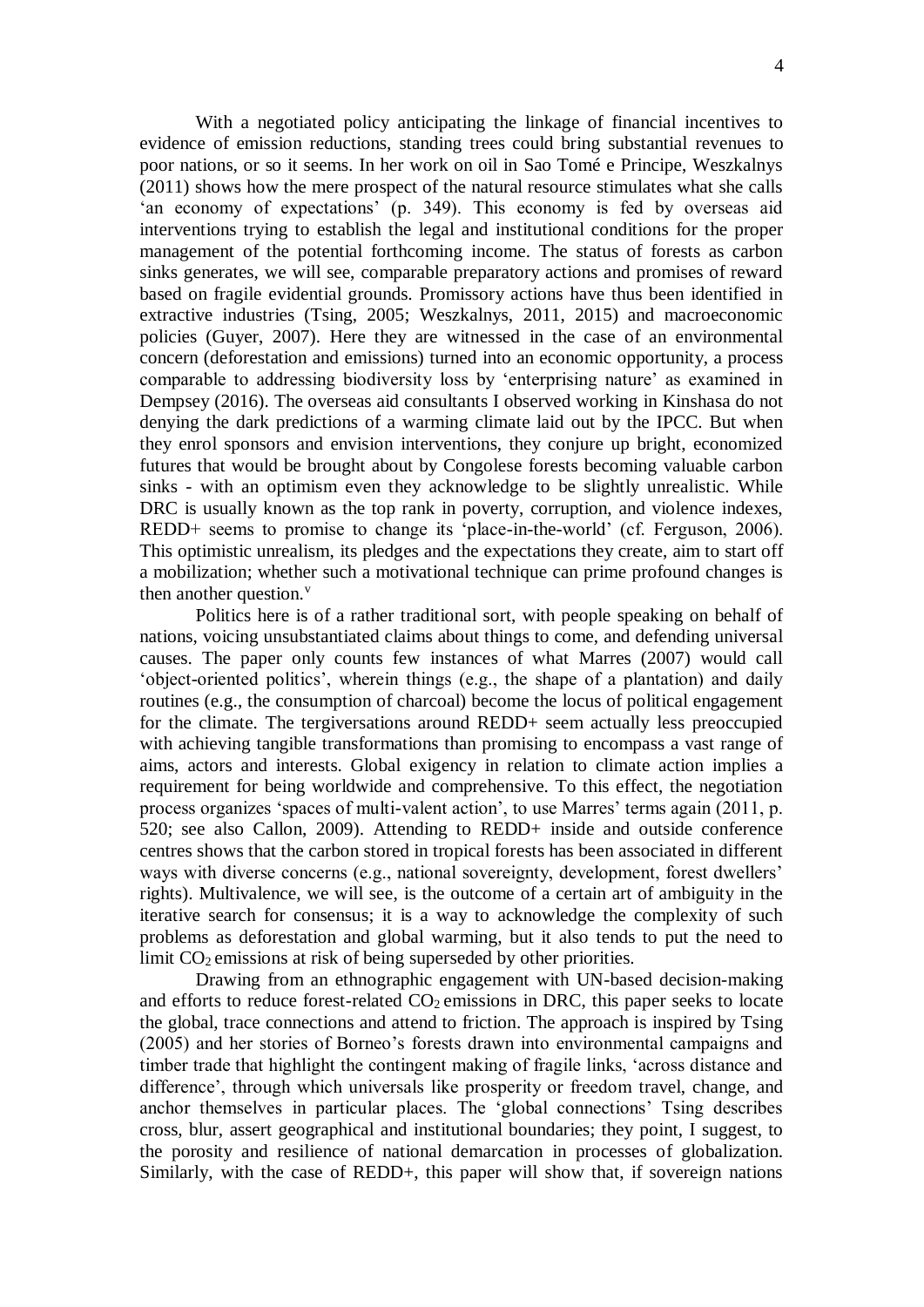With a negotiated policy anticipating the linkage of financial incentives to evidence of emission reductions, standing trees could bring substantial revenues to poor nations, or so it seems. In her work on oil in Sao Tomé e Principe, Weszkalnys (2011) shows how the mere prospect of the natural resource stimulates what she calls 'an economy of expectations' (p. 349). This economy is fed by overseas aid interventions trying to establish the legal and institutional conditions for the proper management of the potential forthcoming income. The status of forests as carbon sinks generates, we will see, comparable preparatory actions and promises of reward based on fragile evidential grounds. Promissory actions have thus been identified in extractive industries (Tsing, 2005; Weszkalnys, 2011, 2015) and macroeconomic policies (Guyer, 2007). Here they are witnessed in the case of an environmental concern (deforestation and emissions) turned into an economic opportunity, a process comparable to addressing biodiversity loss by 'enterprising nature' as examined in Dempsey (2016). The overseas aid consultants I observed working in Kinshasa do not denying the dark predictions of a warming climate laid out by the IPCC. But when they enrol sponsors and envision interventions, they conjure up bright, economized futures that would be brought about by Congolese forests becoming valuable carbon sinks - with an optimism even they acknowledge to be slightly unrealistic. While DRC is usually known as the top rank in poverty, corruption, and violence indexes, REDD+ seems to promise to change its 'place-in-the-world' (cf. Ferguson, 2006). This optimistic unrealism, its pledges and the expectations they create, aim to start off a mobilization; whether such a motivational technique can prime profound changes is then another question. $v$ 

Politics here is of a rather traditional sort, with people speaking on behalf of nations, voicing unsubstantiated claims about things to come, and defending universal causes. The paper only counts few instances of what Marres (2007) would call 'object-oriented politics', wherein things (e.g., the shape of a plantation) and daily routines (e.g., the consumption of charcoal) become the locus of political engagement for the climate. The tergiversations around REDD+ seem actually less preoccupied with achieving tangible transformations than promising to encompass a vast range of aims, actors and interests. Global exigency in relation to climate action implies a requirement for being worldwide and comprehensive. To this effect, the negotiation process organizes 'spaces of multi-valent action', to use Marres' terms again (2011, p. 520; see also Callon, 2009). Attending to REDD+ inside and outside conference centres shows that the carbon stored in tropical forests has been associated in different ways with diverse concerns (e.g., national sovereignty, development, forest dwellers' rights). Multivalence, we will see, is the outcome of a certain art of ambiguity in the iterative search for consensus; it is a way to acknowledge the complexity of such problems as deforestation and global warming, but it also tends to put the need to limit CO<sub>2</sub> emissions at risk of being superseded by other priorities.

Drawing from an ethnographic engagement with UN-based decision-making and efforts to reduce forest-related  $CO<sub>2</sub>$  emissions in DRC, this paper seeks to locate the global, trace connections and attend to friction. The approach is inspired by Tsing (2005) and her stories of Borneo's forests drawn into environmental campaigns and timber trade that highlight the contingent making of fragile links, 'across distance and difference', through which universals like prosperity or freedom travel, change, and anchor themselves in particular places. The 'global connections' Tsing describes cross, blur, assert geographical and institutional boundaries; they point, I suggest, to the porosity and resilience of national demarcation in processes of globalization. Similarly, with the case of REDD+, this paper will show that, if sovereign nations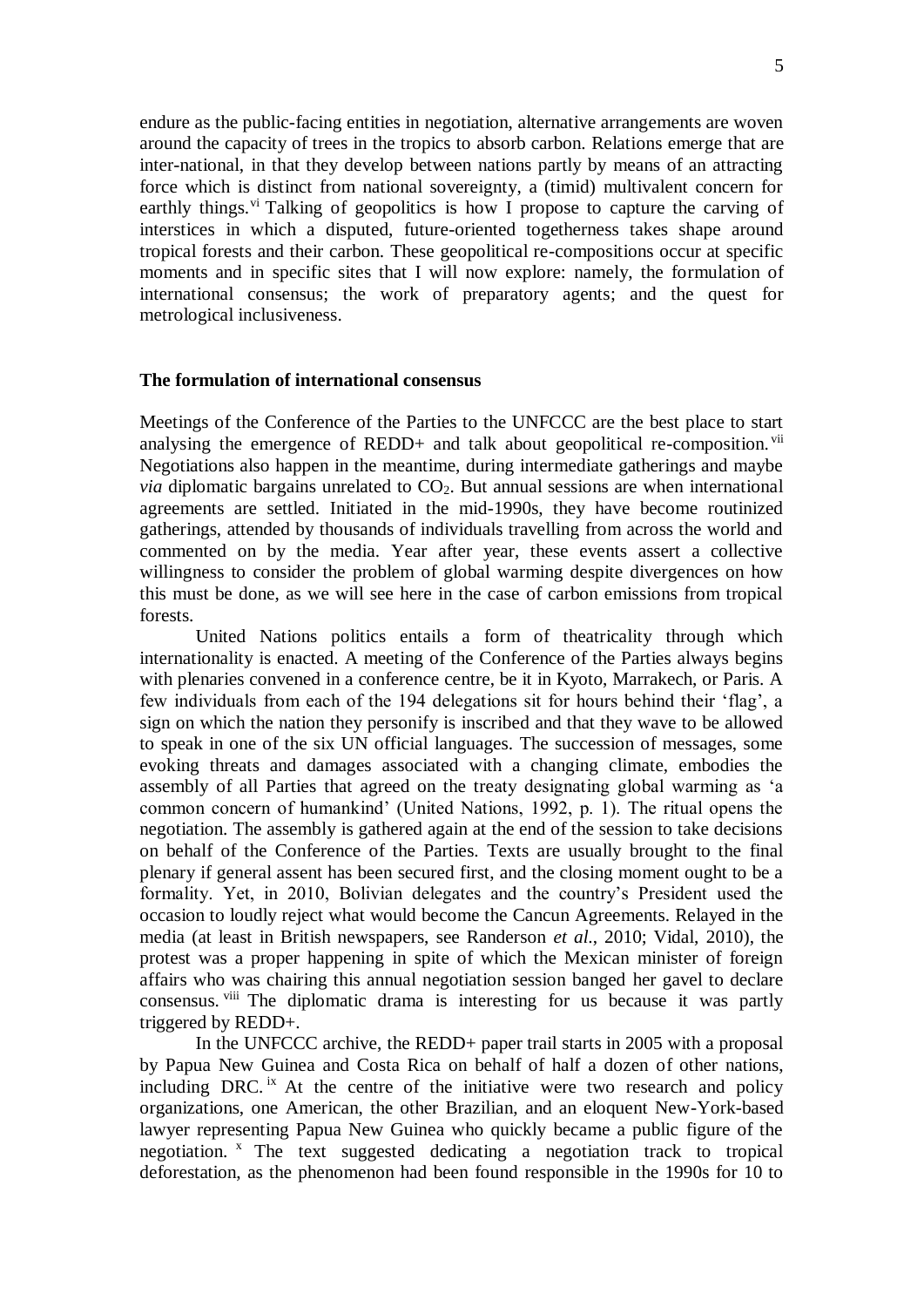endure as the public-facing entities in negotiation, alternative arrangements are woven around the capacity of trees in the tropics to absorb carbon. Relations emerge that are inter-national, in that they develop between nations partly by means of an attracting force which is distinct from national sovereignty, a (timid) multivalent concern for earthly things.  $\frac{v_i}{v}$  Talking of geopolitics is how I propose to capture the carving of interstices in which a disputed, future-oriented togetherness takes shape around tropical forests and their carbon. These geopolitical re-compositions occur at specific moments and in specific sites that I will now explore: namely, the formulation of international consensus; the work of preparatory agents; and the quest for metrological inclusiveness.

## **The formulation of international consensus**

Meetings of the Conference of the Parties to the UNFCCC are the best place to start analysing the emergence of REDD+ and talk about geopolitical re-composition. vii Negotiations also happen in the meantime, during intermediate gatherings and maybe *via* diplomatic bargains unrelated to  $CO<sub>2</sub>$ . But annual sessions are when international agreements are settled. Initiated in the mid-1990s, they have become routinized gatherings, attended by thousands of individuals travelling from across the world and commented on by the media. Year after year, these events assert a collective willingness to consider the problem of global warming despite divergences on how this must be done, as we will see here in the case of carbon emissions from tropical forests.

United Nations politics entails a form of theatricality through which internationality is enacted. A meeting of the Conference of the Parties always begins with plenaries convened in a conference centre, be it in Kyoto, Marrakech, or Paris. A few individuals from each of the 194 delegations sit for hours behind their 'flag', a sign on which the nation they personify is inscribed and that they wave to be allowed to speak in one of the six UN official languages. The succession of messages, some evoking threats and damages associated with a changing climate, embodies the assembly of all Parties that agreed on the treaty designating global warming as 'a common concern of humankind' (United Nations, 1992, p. 1). The ritual opens the negotiation. The assembly is gathered again at the end of the session to take decisions on behalf of the Conference of the Parties. Texts are usually brought to the final plenary if general assent has been secured first, and the closing moment ought to be a formality. Yet, in 2010, Bolivian delegates and the country's President used the occasion to loudly reject what would become the Cancun Agreements. Relayed in the media (at least in British newspapers, see Randerson *et al*., 2010; Vidal, 2010), the protest was a proper happening in spite of which the Mexican minister of foreign affairs who was chairing this annual negotiation session banged her gavel to declare consensus. viii The diplomatic drama is interesting for us because it was partly triggered by REDD+.

In the UNFCCC archive, the REDD+ paper trail starts in 2005 with a proposal by Papua New Guinea and Costa Rica on behalf of half a dozen of other nations, including DRC.  $\frac{1}{x}$  At the centre of the initiative were two research and policy organizations, one American, the other Brazilian, and an eloquent New-York-based lawyer representing Papua New Guinea who quickly became a public figure of the negotiation. <sup>x</sup> The text suggested dedicating a negotiation track to tropical deforestation, as the phenomenon had been found responsible in the 1990s for 10 to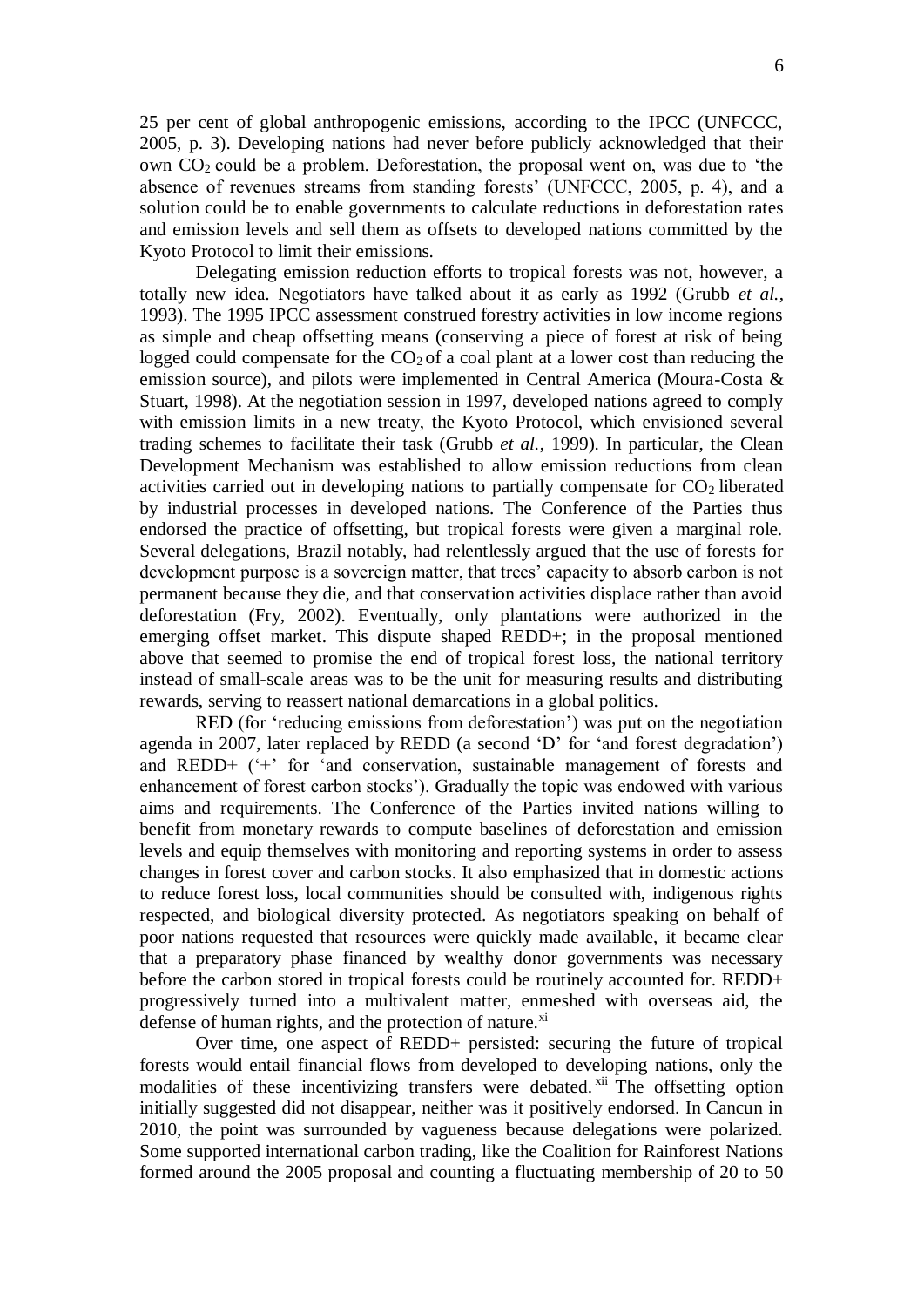25 per cent of global anthropogenic emissions, according to the IPCC (UNFCCC, 2005, p. 3). Developing nations had never before publicly acknowledged that their own  $CO<sub>2</sub>$  could be a problem. Deforestation, the proposal went on, was due to 'the absence of revenues streams from standing forests' (UNFCCC, 2005, p. 4), and a solution could be to enable governments to calculate reductions in deforestation rates and emission levels and sell them as offsets to developed nations committed by the Kyoto Protocol to limit their emissions.

Delegating emission reduction efforts to tropical forests was not, however, a totally new idea. Negotiators have talked about it as early as 1992 (Grubb *et al.*, 1993). The 1995 IPCC assessment construed forestry activities in low income regions as simple and cheap offsetting means (conserving a piece of forest at risk of being logged could compensate for the  $CO<sub>2</sub>$  of a coal plant at a lower cost than reducing the emission source), and pilots were implemented in Central America (Moura-Costa & Stuart, 1998). At the negotiation session in 1997, developed nations agreed to comply with emission limits in a new treaty, the Kyoto Protocol, which envisioned several trading schemes to facilitate their task (Grubb *et al.*, 1999). In particular, the Clean Development Mechanism was established to allow emission reductions from clean activities carried out in developing nations to partially compensate for  $CO<sub>2</sub>$  liberated by industrial processes in developed nations. The Conference of the Parties thus endorsed the practice of offsetting, but tropical forests were given a marginal role. Several delegations, Brazil notably, had relentlessly argued that the use of forests for development purpose is a sovereign matter, that trees' capacity to absorb carbon is not permanent because they die, and that conservation activities displace rather than avoid deforestation (Fry, 2002). Eventually, only plantations were authorized in the emerging offset market. This dispute shaped REDD+; in the proposal mentioned above that seemed to promise the end of tropical forest loss, the national territory instead of small-scale areas was to be the unit for measuring results and distributing rewards, serving to reassert national demarcations in a global politics.

RED (for 'reducing emissions from deforestation') was put on the negotiation agenda in 2007, later replaced by REDD (a second 'D' for 'and forest degradation') and REDD+ ('+' for 'and conservation, sustainable management of forests and enhancement of forest carbon stocks'). Gradually the topic was endowed with various aims and requirements. The Conference of the Parties invited nations willing to benefit from monetary rewards to compute baselines of deforestation and emission levels and equip themselves with monitoring and reporting systems in order to assess changes in forest cover and carbon stocks. It also emphasized that in domestic actions to reduce forest loss, local communities should be consulted with, indigenous rights respected, and biological diversity protected. As negotiators speaking on behalf of poor nations requested that resources were quickly made available, it became clear that a preparatory phase financed by wealthy donor governments was necessary before the carbon stored in tropical forests could be routinely accounted for. REDD+ progressively turned into a multivalent matter, enmeshed with overseas aid, the defense of human rights, and the protection of nature. $x_i$ 

Over time, one aspect of REDD+ persisted: securing the future of tropical forests would entail financial flows from developed to developing nations, only the modalities of these incentivizing transfers were debated. X<sup>ii</sup> The offsetting option initially suggested did not disappear, neither was it positively endorsed. In Cancun in 2010, the point was surrounded by vagueness because delegations were polarized. Some supported international carbon trading, like the Coalition for Rainforest Nations formed around the 2005 proposal and counting a fluctuating membership of 20 to 50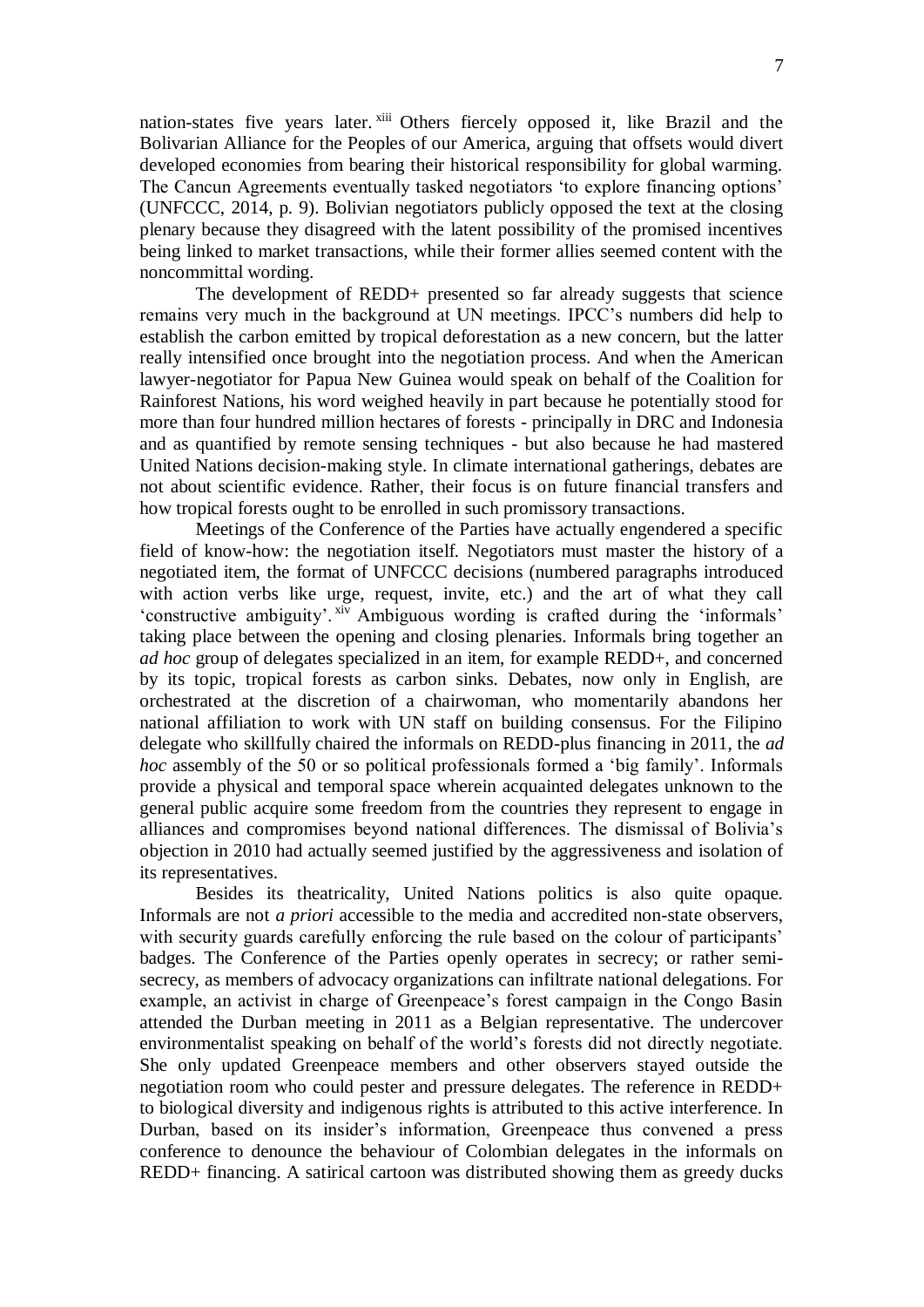nation-states five years later. xiii Others fiercely opposed it, like Brazil and the Bolivarian Alliance for the Peoples of our America, arguing that offsets would divert developed economies from bearing their historical responsibility for global warming. The Cancun Agreements eventually tasked negotiators 'to explore financing options' (UNFCCC, 2014, p. 9). Bolivian negotiators publicly opposed the text at the closing plenary because they disagreed with the latent possibility of the promised incentives being linked to market transactions, while their former allies seemed content with the noncommittal wording.

The development of REDD+ presented so far already suggests that science remains very much in the background at UN meetings. IPCC's numbers did help to establish the carbon emitted by tropical deforestation as a new concern, but the latter really intensified once brought into the negotiation process. And when the American lawyer-negotiator for Papua New Guinea would speak on behalf of the Coalition for Rainforest Nations, his word weighed heavily in part because he potentially stood for more than four hundred million hectares of forests - principally in DRC and Indonesia and as quantified by remote sensing techniques - but also because he had mastered United Nations decision-making style. In climate international gatherings, debates are not about scientific evidence. Rather, their focus is on future financial transfers and how tropical forests ought to be enrolled in such promissory transactions.

Meetings of the Conference of the Parties have actually engendered a specific field of know-how: the negotiation itself. Negotiators must master the history of a negotiated item, the format of UNFCCC decisions (numbered paragraphs introduced with action verbs like urge, request, invite, etc.) and the art of what they call 'constructive ambiguity'. Xiv Ambiguous wording is crafted during the 'informals' taking place between the opening and closing plenaries. Informals bring together an *ad hoc* group of delegates specialized in an item, for example REDD+, and concerned by its topic, tropical forests as carbon sinks. Debates, now only in English, are orchestrated at the discretion of a chairwoman, who momentarily abandons her national affiliation to work with UN staff on building consensus. For the Filipino delegate who skillfully chaired the informals on REDD-plus financing in 2011, the *ad hoc* assembly of the 50 or so political professionals formed a 'big family'. Informals provide a physical and temporal space wherein acquainted delegates unknown to the general public acquire some freedom from the countries they represent to engage in alliances and compromises beyond national differences. The dismissal of Bolivia's objection in 2010 had actually seemed justified by the aggressiveness and isolation of its representatives.

Besides its theatricality, United Nations politics is also quite opaque. Informals are not *a priori* accessible to the media and accredited non-state observers, with security guards carefully enforcing the rule based on the colour of participants' badges. The Conference of the Parties openly operates in secrecy; or rather semisecrecy, as members of advocacy organizations can infiltrate national delegations. For example, an activist in charge of Greenpeace's forest campaign in the Congo Basin attended the Durban meeting in 2011 as a Belgian representative. The undercover environmentalist speaking on behalf of the world's forests did not directly negotiate. She only updated Greenpeace members and other observers stayed outside the negotiation room who could pester and pressure delegates. The reference in REDD+ to biological diversity and indigenous rights is attributed to this active interference. In Durban, based on its insider's information, Greenpeace thus convened a press conference to denounce the behaviour of Colombian delegates in the informals on REDD+ financing. A satirical cartoon was distributed showing them as greedy ducks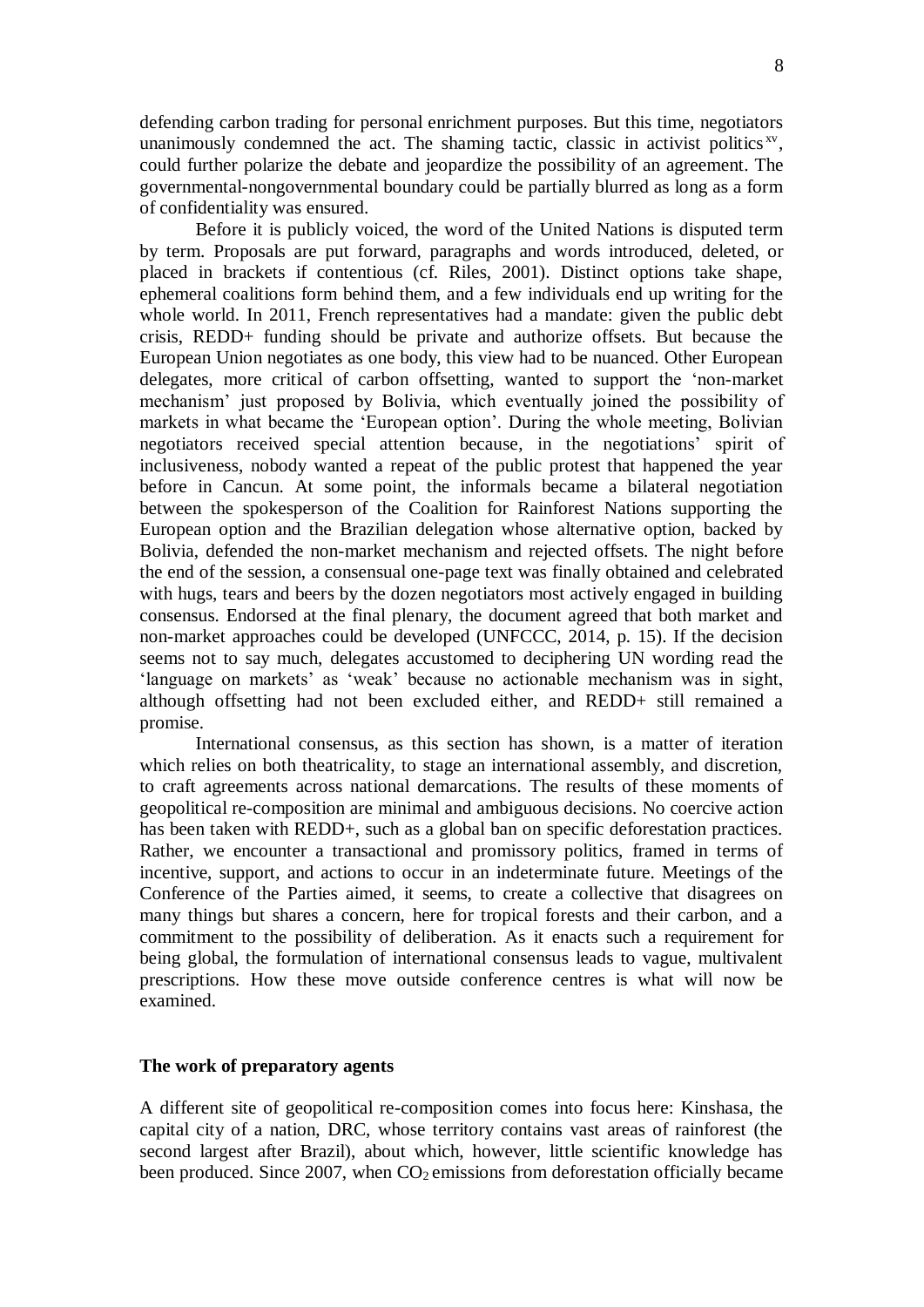defending carbon trading for personal enrichment purposes. But this time, negotiators unanimously condemned the act. The shaming tactic, classic in activist politics $x<sub>v</sub>$ , could further polarize the debate and jeopardize the possibility of an agreement. The governmental-nongovernmental boundary could be partially blurred as long as a form of confidentiality was ensured.

Before it is publicly voiced, the word of the United Nations is disputed term by term. Proposals are put forward, paragraphs and words introduced, deleted, or placed in brackets if contentious (cf. Riles, 2001). Distinct options take shape, ephemeral coalitions form behind them, and a few individuals end up writing for the whole world. In 2011, French representatives had a mandate: given the public debt crisis, REDD+ funding should be private and authorize offsets. But because the European Union negotiates as one body, this view had to be nuanced. Other European delegates, more critical of carbon offsetting, wanted to support the 'non-market mechanism' just proposed by Bolivia, which eventually joined the possibility of markets in what became the 'European option'. During the whole meeting, Bolivian negotiators received special attention because, in the negotiations' spirit of inclusiveness, nobody wanted a repeat of the public protest that happened the year before in Cancun. At some point, the informals became a bilateral negotiation between the spokesperson of the Coalition for Rainforest Nations supporting the European option and the Brazilian delegation whose alternative option, backed by Bolivia, defended the non-market mechanism and rejected offsets. The night before the end of the session, a consensual one-page text was finally obtained and celebrated with hugs, tears and beers by the dozen negotiators most actively engaged in building consensus. Endorsed at the final plenary, the document agreed that both market and non-market approaches could be developed (UNFCCC, 2014, p. 15). If the decision seems not to say much, delegates accustomed to deciphering UN wording read the 'language on markets' as 'weak' because no actionable mechanism was in sight, although offsetting had not been excluded either, and REDD+ still remained a promise.

International consensus, as this section has shown, is a matter of iteration which relies on both theatricality, to stage an international assembly, and discretion, to craft agreements across national demarcations. The results of these moments of geopolitical re-composition are minimal and ambiguous decisions. No coercive action has been taken with REDD+, such as a global ban on specific deforestation practices. Rather, we encounter a transactional and promissory politics, framed in terms of incentive, support, and actions to occur in an indeterminate future. Meetings of the Conference of the Parties aimed, it seems, to create a collective that disagrees on many things but shares a concern, here for tropical forests and their carbon, and a commitment to the possibility of deliberation. As it enacts such a requirement for being global, the formulation of international consensus leads to vague, multivalent prescriptions. How these move outside conference centres is what will now be examined.

### **The work of preparatory agents**

A different site of geopolitical re-composition comes into focus here: Kinshasa, the capital city of a nation, DRC, whose territory contains vast areas of rainforest (the second largest after Brazil), about which, however, little scientific knowledge has been produced. Since 2007, when  $CO<sub>2</sub>$  emissions from deforestation officially became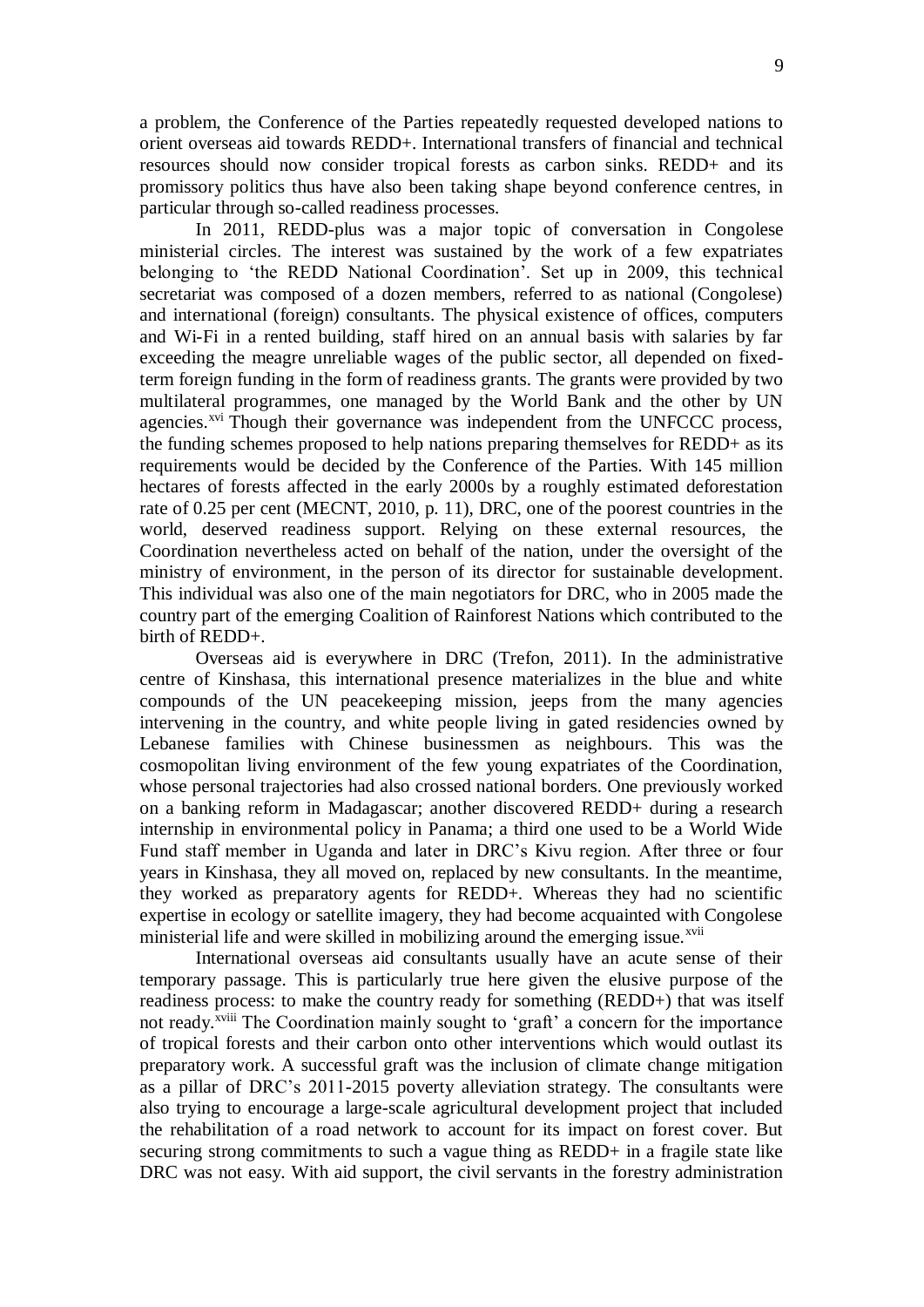a problem, the Conference of the Parties repeatedly requested developed nations to orient overseas aid towards REDD+. International transfers of financial and technical resources should now consider tropical forests as carbon sinks. REDD+ and its promissory politics thus have also been taking shape beyond conference centres, in particular through so-called readiness processes.

In 2011, REDD-plus was a major topic of conversation in Congolese ministerial circles. The interest was sustained by the work of a few expatriates belonging to 'the REDD National Coordination'. Set up in 2009, this technical secretariat was composed of a dozen members, referred to as national (Congolese) and international (foreign) consultants. The physical existence of offices, computers and Wi-Fi in a rented building, staff hired on an annual basis with salaries by far exceeding the meagre unreliable wages of the public sector, all depended on fixedterm foreign funding in the form of readiness grants. The grants were provided by two multilateral programmes, one managed by the World Bank and the other by UN agencies.<sup>xvi</sup> Though their governance was independent from the UNFCCC process, the funding schemes proposed to help nations preparing themselves for REDD+ as its requirements would be decided by the Conference of the Parties. With 145 million hectares of forests affected in the early 2000s by a roughly estimated deforestation rate of 0.25 per cent (MECNT, 2010, p. 11), DRC, one of the poorest countries in the world, deserved readiness support. Relying on these external resources, the Coordination nevertheless acted on behalf of the nation, under the oversight of the ministry of environment, in the person of its director for sustainable development. This individual was also one of the main negotiators for DRC, who in 2005 made the country part of the emerging Coalition of Rainforest Nations which contributed to the birth of REDD+.

Overseas aid is everywhere in DRC (Trefon, 2011). In the administrative centre of Kinshasa, this international presence materializes in the blue and white compounds of the UN peacekeeping mission, jeeps from the many agencies intervening in the country, and white people living in gated residencies owned by Lebanese families with Chinese businessmen as neighbours. This was the cosmopolitan living environment of the few young expatriates of the Coordination, whose personal trajectories had also crossed national borders. One previously worked on a banking reform in Madagascar; another discovered REDD+ during a research internship in environmental policy in Panama; a third one used to be a World Wide Fund staff member in Uganda and later in DRC's Kivu region. After three or four years in Kinshasa, they all moved on, replaced by new consultants. In the meantime, they worked as preparatory agents for REDD+. Whereas they had no scientific expertise in ecology or satellite imagery, they had become acquainted with Congolese ministerial life and were skilled in mobilizing around the emerging issue.<sup>xvii</sup>

International overseas aid consultants usually have an acute sense of their temporary passage. This is particularly true here given the elusive purpose of the readiness process: to make the country ready for something (REDD+) that was itself not ready.<sup>xviii</sup> The Coordination mainly sought to 'graft' a concern for the importance of tropical forests and their carbon onto other interventions which would outlast its preparatory work. A successful graft was the inclusion of climate change mitigation as a pillar of DRC's 2011-2015 poverty alleviation strategy. The consultants were also trying to encourage a large-scale agricultural development project that included the rehabilitation of a road network to account for its impact on forest cover. But securing strong commitments to such a vague thing as REDD+ in a fragile state like DRC was not easy. With aid support, the civil servants in the forestry administration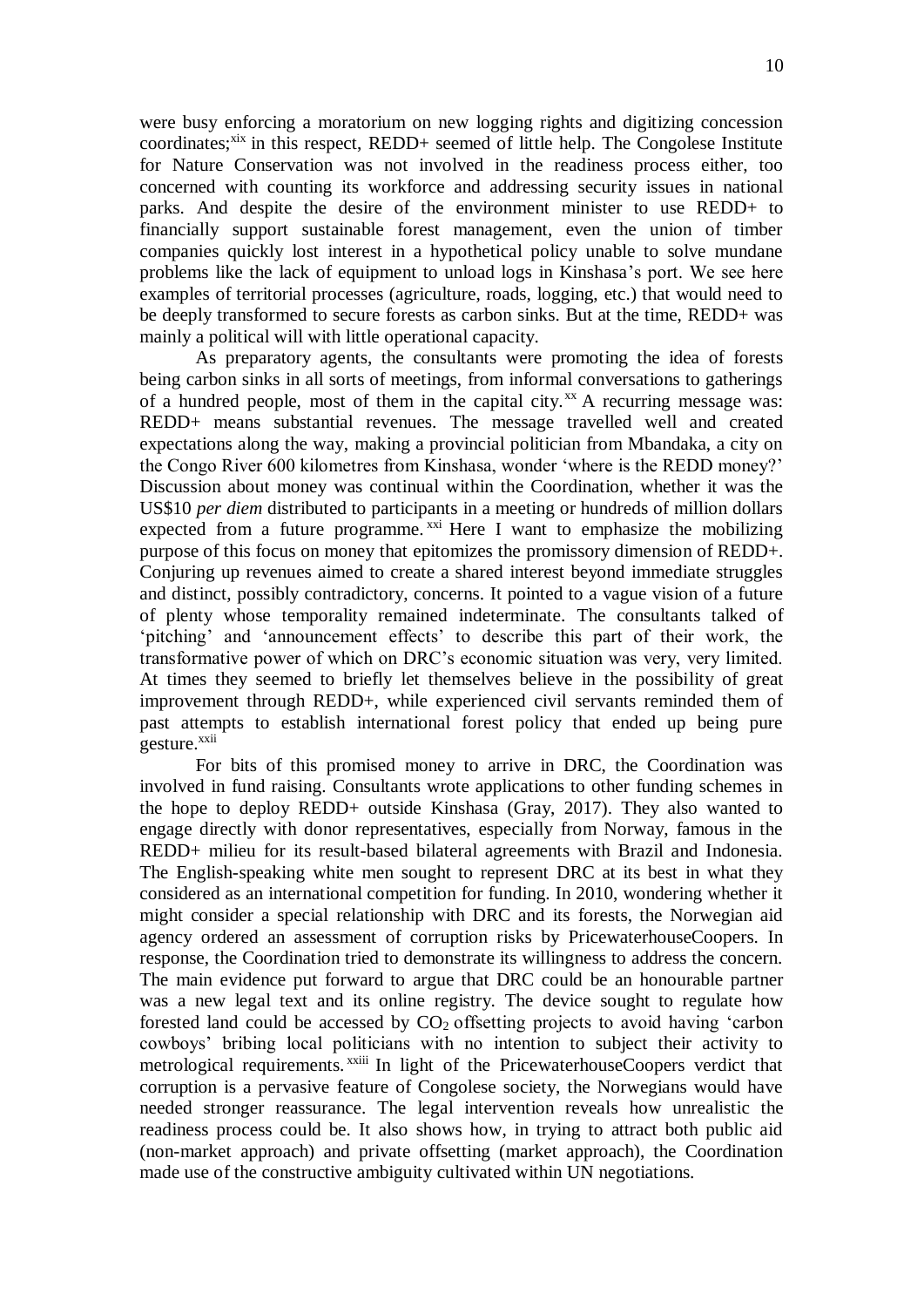were busy enforcing a moratorium on new logging rights and digitizing concession coordinates;<sup>xix</sup> in this respect, REDD+ seemed of little help. The Congolese Institute for Nature Conservation was not involved in the readiness process either, too concerned with counting its workforce and addressing security issues in national parks. And despite the desire of the environment minister to use REDD+ to financially support sustainable forest management, even the union of timber companies quickly lost interest in a hypothetical policy unable to solve mundane problems like the lack of equipment to unload logs in Kinshasa's port. We see here examples of territorial processes (agriculture, roads, logging, etc.) that would need to be deeply transformed to secure forests as carbon sinks. But at the time, REDD+ was mainly a political will with little operational capacity.

As preparatory agents, the consultants were promoting the idea of forests being carbon sinks in all sorts of meetings, from informal conversations to gatherings of a hundred people, most of them in the capital city. $^{xx}$  A recurring message was: REDD+ means substantial revenues. The message travelled well and created expectations along the way, making a provincial politician from Mbandaka, a city on the Congo River 600 kilometres from Kinshasa, wonder 'where is the REDD money?' Discussion about money was continual within the Coordination, whether it was the US\$10 *per diem* distributed to participants in a meeting or hundreds of million dollars expected from a future programme.  $^{xxi}$  Here I want to emphasize the mobilizing purpose of this focus on money that epitomizes the promissory dimension of REDD+. Conjuring up revenues aimed to create a shared interest beyond immediate struggles and distinct, possibly contradictory, concerns. It pointed to a vague vision of a future of plenty whose temporality remained indeterminate. The consultants talked of 'pitching' and 'announcement effects' to describe this part of their work, the transformative power of which on DRC's economic situation was very, very limited. At times they seemed to briefly let themselves believe in the possibility of great improvement through REDD+, while experienced civil servants reminded them of past attempts to establish international forest policy that ended up being pure  $q$ esture. $x$ <sup>xxii</sup>

For bits of this promised money to arrive in DRC, the Coordination was involved in fund raising. Consultants wrote applications to other funding schemes in the hope to deploy REDD+ outside Kinshasa (Gray, 2017). They also wanted to engage directly with donor representatives, especially from Norway, famous in the REDD+ milieu for its result-based bilateral agreements with Brazil and Indonesia. The English-speaking white men sought to represent DRC at its best in what they considered as an international competition for funding. In 2010, wondering whether it might consider a special relationship with DRC and its forests, the Norwegian aid agency ordered an assessment of corruption risks by PricewaterhouseCoopers. In response, the Coordination tried to demonstrate its willingness to address the concern. The main evidence put forward to argue that DRC could be an honourable partner was a new legal text and its online registry. The device sought to regulate how forested land could be accessed by  $CO<sub>2</sub>$  offsetting projects to avoid having 'carbon cowboys' bribing local politicians with no intention to subject their activity to metrological requirements. xxiii In light of the PricewaterhouseCoopers verdict that corruption is a pervasive feature of Congolese society, the Norwegians would have needed stronger reassurance. The legal intervention reveals how unrealistic the readiness process could be. It also shows how, in trying to attract both public aid (non-market approach) and private offsetting (market approach), the Coordination made use of the constructive ambiguity cultivated within UN negotiations.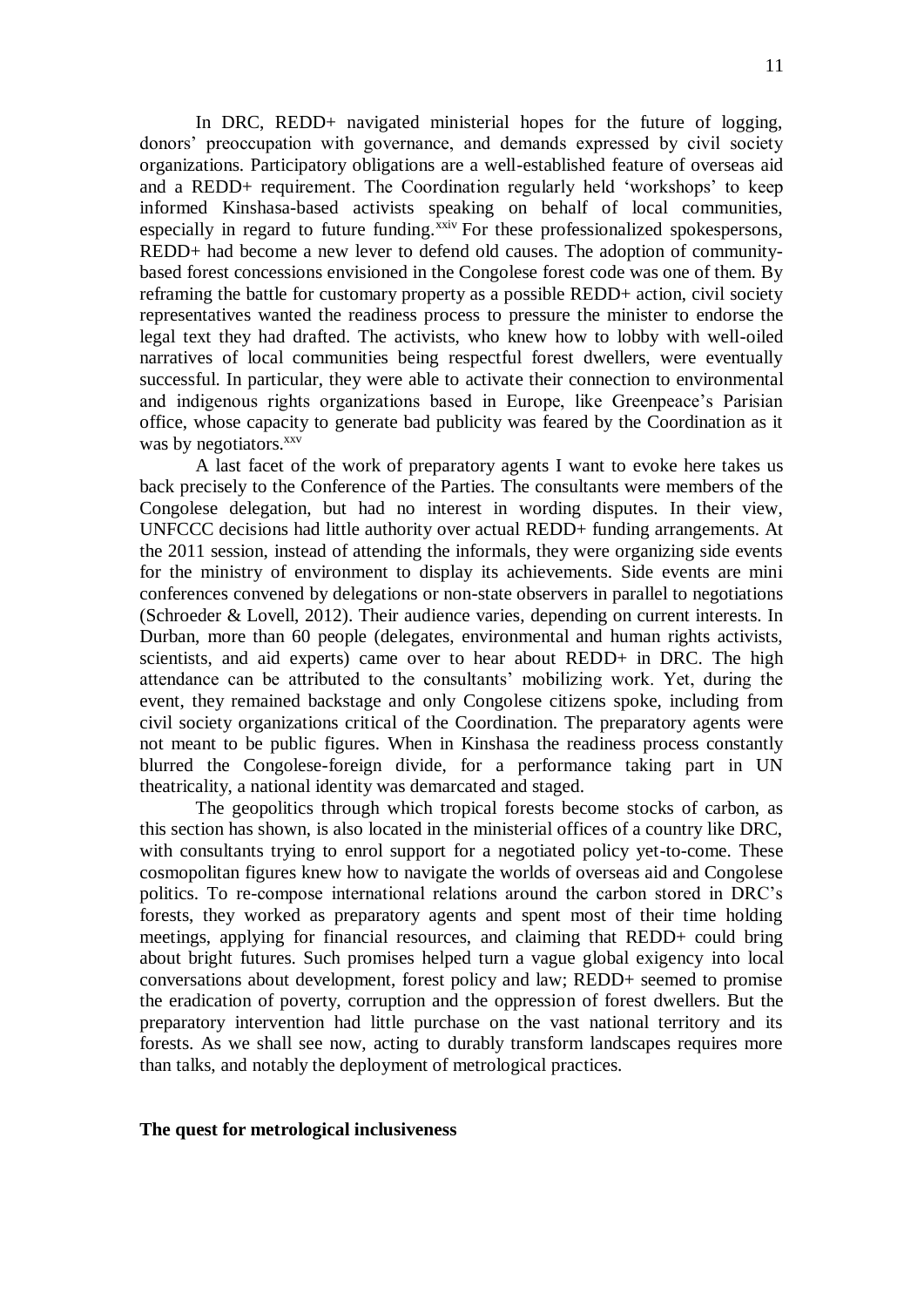In DRC, REDD+ navigated ministerial hopes for the future of logging, donors' preoccupation with governance, and demands expressed by civil society organizations. Participatory obligations are a well-established feature of overseas aid and a REDD+ requirement. The Coordination regularly held 'workshops' to keep informed Kinshasa-based activists speaking on behalf of local communities, especially in regard to future funding.<sup>xxiv</sup> For these professionalized spokespersons, REDD+ had become a new lever to defend old causes. The adoption of communitybased forest concessions envisioned in the Congolese forest code was one of them. By reframing the battle for customary property as a possible REDD+ action, civil society representatives wanted the readiness process to pressure the minister to endorse the legal text they had drafted. The activists, who knew how to lobby with well-oiled narratives of local communities being respectful forest dwellers, were eventually successful. In particular, they were able to activate their connection to environmental and indigenous rights organizations based in Europe, like Greenpeace's Parisian office, whose capacity to generate bad publicity was feared by the Coordination as it was by negotiators.<sup>xxv</sup>

A last facet of the work of preparatory agents I want to evoke here takes us back precisely to the Conference of the Parties. The consultants were members of the Congolese delegation, but had no interest in wording disputes. In their view, UNFCCC decisions had little authority over actual REDD+ funding arrangements. At the 2011 session, instead of attending the informals, they were organizing side events for the ministry of environment to display its achievements. Side events are mini conferences convened by delegations or non-state observers in parallel to negotiations (Schroeder & Lovell, 2012). Their audience varies, depending on current interests. In Durban, more than 60 people (delegates, environmental and human rights activists, scientists, and aid experts) came over to hear about REDD+ in DRC. The high attendance can be attributed to the consultants' mobilizing work. Yet, during the event, they remained backstage and only Congolese citizens spoke, including from civil society organizations critical of the Coordination. The preparatory agents were not meant to be public figures. When in Kinshasa the readiness process constantly blurred the Congolese-foreign divide, for a performance taking part in UN theatricality, a national identity was demarcated and staged.

The geopolitics through which tropical forests become stocks of carbon, as this section has shown, is also located in the ministerial offices of a country like DRC, with consultants trying to enrol support for a negotiated policy yet-to-come. These cosmopolitan figures knew how to navigate the worlds of overseas aid and Congolese politics. To re-compose international relations around the carbon stored in DRC's forests, they worked as preparatory agents and spent most of their time holding meetings, applying for financial resources, and claiming that REDD+ could bring about bright futures. Such promises helped turn a vague global exigency into local conversations about development, forest policy and law; REDD+ seemed to promise the eradication of poverty, corruption and the oppression of forest dwellers. But the preparatory intervention had little purchase on the vast national territory and its forests. As we shall see now, acting to durably transform landscapes requires more than talks, and notably the deployment of metrological practices.

# **The quest for metrological inclusiveness**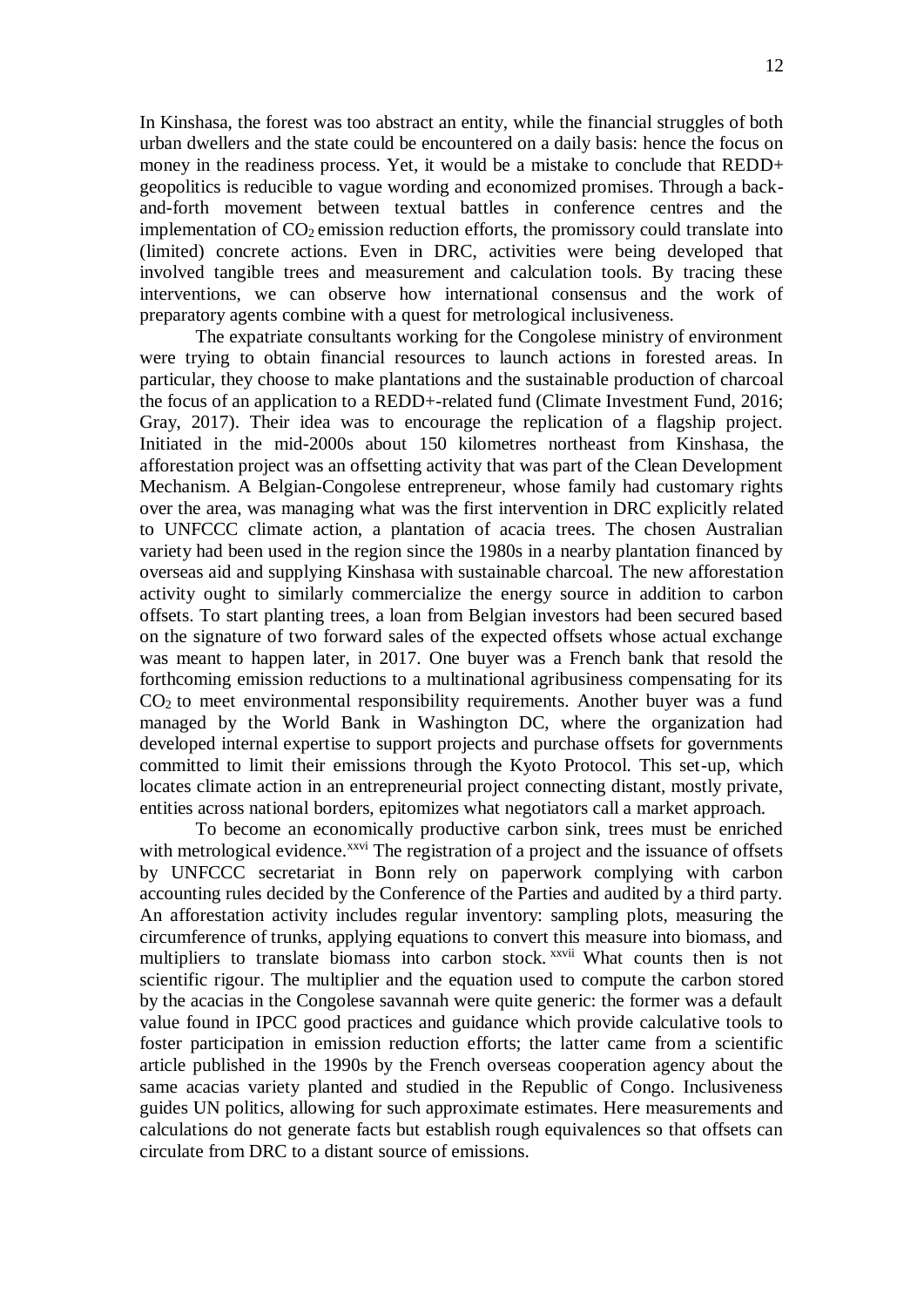In Kinshasa, the forest was too abstract an entity, while the financial struggles of both urban dwellers and the state could be encountered on a daily basis: hence the focus on money in the readiness process. Yet, it would be a mistake to conclude that REDD+ geopolitics is reducible to vague wording and economized promises. Through a backand-forth movement between textual battles in conference centres and the implementation of  $CO<sub>2</sub>$  emission reduction efforts, the promissory could translate into (limited) concrete actions. Even in DRC, activities were being developed that involved tangible trees and measurement and calculation tools. By tracing these interventions, we can observe how international consensus and the work of preparatory agents combine with a quest for metrological inclusiveness.

The expatriate consultants working for the Congolese ministry of environment were trying to obtain financial resources to launch actions in forested areas. In particular, they choose to make plantations and the sustainable production of charcoal the focus of an application to a REDD+-related fund (Climate Investment Fund, 2016; Gray, 2017). Their idea was to encourage the replication of a flagship project. Initiated in the mid-2000s about 150 kilometres northeast from Kinshasa, the afforestation project was an offsetting activity that was part of the Clean Development Mechanism. A Belgian-Congolese entrepreneur, whose family had customary rights over the area, was managing what was the first intervention in DRC explicitly related to UNFCCC climate action, a plantation of acacia trees. The chosen Australian variety had been used in the region since the 1980s in a nearby plantation financed by overseas aid and supplying Kinshasa with sustainable charcoal. The new afforestation activity ought to similarly commercialize the energy source in addition to carbon offsets. To start planting trees, a loan from Belgian investors had been secured based on the signature of two forward sales of the expected offsets whose actual exchange was meant to happen later, in 2017. One buyer was a French bank that resold the forthcoming emission reductions to a multinational agribusiness compensating for its CO2 to meet environmental responsibility requirements. Another buyer was a fund managed by the World Bank in Washington DC, where the organization had developed internal expertise to support projects and purchase offsets for governments committed to limit their emissions through the Kyoto Protocol. This set-up, which locates climate action in an entrepreneurial project connecting distant, mostly private, entities across national borders, epitomizes what negotiators call a market approach.

To become an economically productive carbon sink, trees must be enriched with metrological evidence.<sup>xxvi</sup> The registration of a project and the issuance of offsets by UNFCCC secretariat in Bonn rely on paperwork complying with carbon accounting rules decided by the Conference of the Parties and audited by a third party. An afforestation activity includes regular inventory: sampling plots, measuring the circumference of trunks, applying equations to convert this measure into biomass, and multipliers to translate biomass into carbon stock.<sup>xxvii</sup> What counts then is not scientific rigour. The multiplier and the equation used to compute the carbon stored by the acacias in the Congolese savannah were quite generic: the former was a default value found in IPCC good practices and guidance which provide calculative tools to foster participation in emission reduction efforts; the latter came from a scientific article published in the 1990s by the French overseas cooperation agency about the same acacias variety planted and studied in the Republic of Congo. Inclusiveness guides UN politics, allowing for such approximate estimates. Here measurements and calculations do not generate facts but establish rough equivalences so that offsets can circulate from DRC to a distant source of emissions.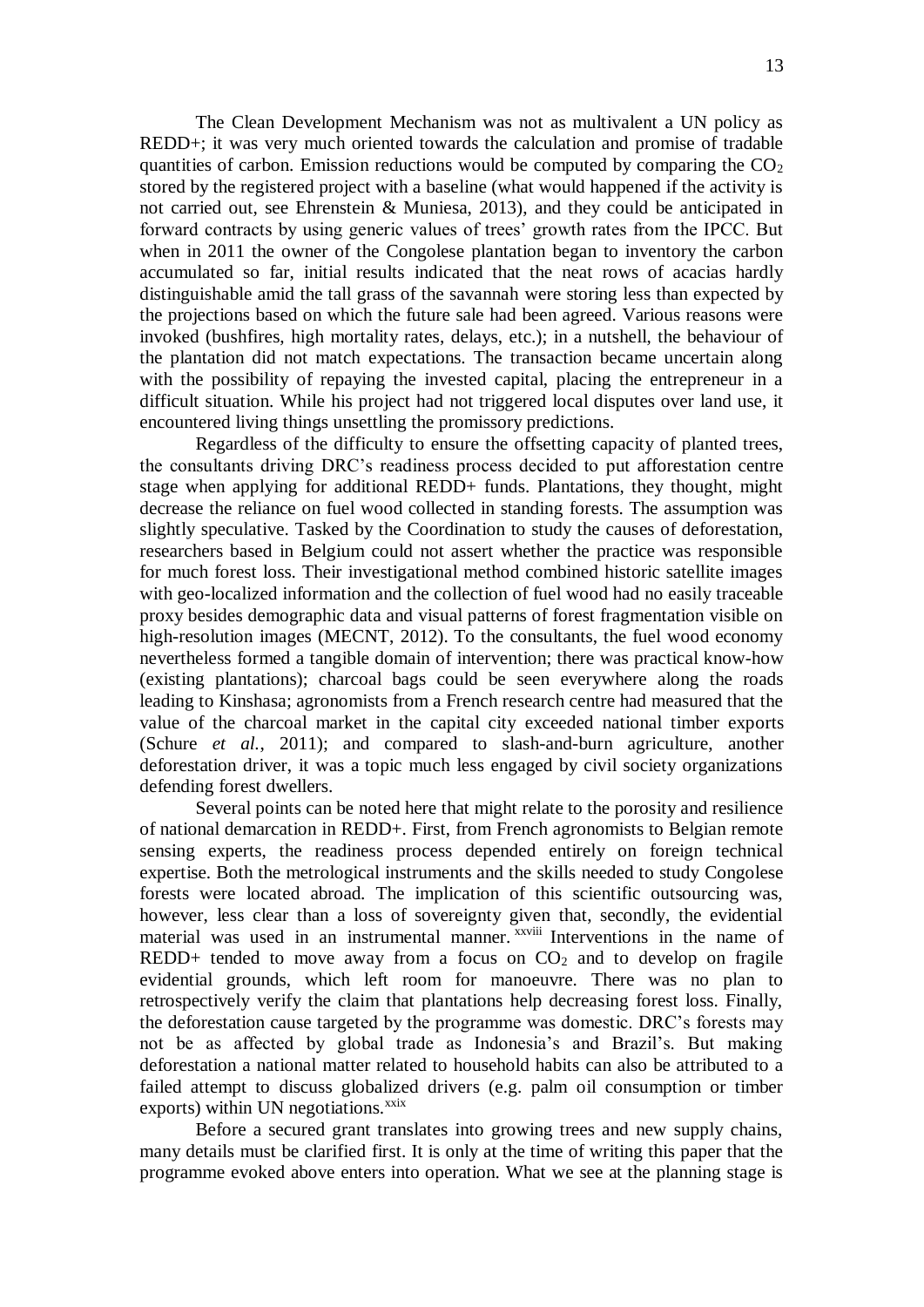The Clean Development Mechanism was not as multivalent a UN policy as REDD+; it was very much oriented towards the calculation and promise of tradable quantities of carbon. Emission reductions would be computed by comparing the  $CO<sub>2</sub>$ stored by the registered project with a baseline (what would happened if the activity is not carried out, see Ehrenstein & Muniesa, 2013), and they could be anticipated in forward contracts by using generic values of trees' growth rates from the IPCC. But when in 2011 the owner of the Congolese plantation began to inventory the carbon accumulated so far, initial results indicated that the neat rows of acacias hardly distinguishable amid the tall grass of the savannah were storing less than expected by the projections based on which the future sale had been agreed. Various reasons were invoked (bushfires, high mortality rates, delays, etc.); in a nutshell, the behaviour of the plantation did not match expectations. The transaction became uncertain along with the possibility of repaying the invested capital, placing the entrepreneur in a difficult situation. While his project had not triggered local disputes over land use, it encountered living things unsettling the promissory predictions.

Regardless of the difficulty to ensure the offsetting capacity of planted trees, the consultants driving DRC's readiness process decided to put afforestation centre stage when applying for additional REDD+ funds. Plantations, they thought, might decrease the reliance on fuel wood collected in standing forests. The assumption was slightly speculative. Tasked by the Coordination to study the causes of deforestation, researchers based in Belgium could not assert whether the practice was responsible for much forest loss. Their investigational method combined historic satellite images with geo-localized information and the collection of fuel wood had no easily traceable proxy besides demographic data and visual patterns of forest fragmentation visible on high-resolution images (MECNT, 2012). To the consultants, the fuel wood economy nevertheless formed a tangible domain of intervention; there was practical know-how (existing plantations); charcoal bags could be seen everywhere along the roads leading to Kinshasa; agronomists from a French research centre had measured that the value of the charcoal market in the capital city exceeded national timber exports (Schure *et al.*, 2011); and compared to slash-and-burn agriculture, another deforestation driver, it was a topic much less engaged by civil society organizations defending forest dwellers.

Several points can be noted here that might relate to the porosity and resilience of national demarcation in REDD+. First, from French agronomists to Belgian remote sensing experts, the readiness process depended entirely on foreign technical expertise. Both the metrological instruments and the skills needed to study Congolese forests were located abroad. The implication of this scientific outsourcing was, however, less clear than a loss of sovereignty given that, secondly, the evidential material was used in an instrumental manner. xxviii Interventions in the name of REDD+ tended to move away from a focus on  $CO<sub>2</sub>$  and to develop on fragile evidential grounds, which left room for manoeuvre. There was no plan to retrospectively verify the claim that plantations help decreasing forest loss. Finally, the deforestation cause targeted by the programme was domestic. DRC's forests may not be as affected by global trade as Indonesia's and Brazil's. But making deforestation a national matter related to household habits can also be attributed to a failed attempt to discuss globalized drivers (e.g. palm oil consumption or timber exports) within UN negotiations.<sup>xxix</sup>

Before a secured grant translates into growing trees and new supply chains, many details must be clarified first. It is only at the time of writing this paper that the programme evoked above enters into operation. What we see at the planning stage is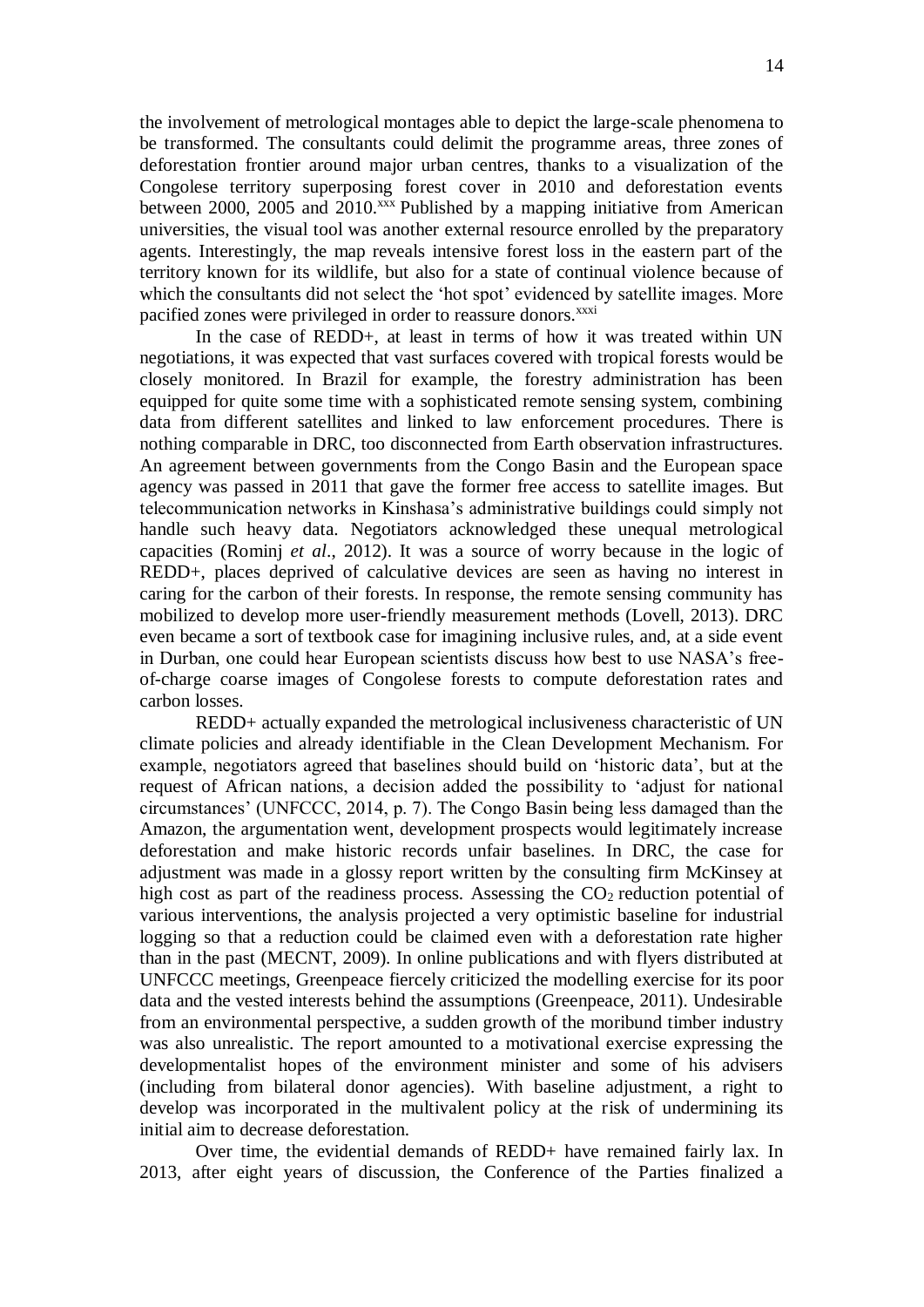the involvement of metrological montages able to depict the large-scale phenomena to be transformed. The consultants could delimit the programme areas, three zones of deforestation frontier around major urban centres, thanks to a visualization of the Congolese territory superposing forest cover in 2010 and deforestation events between 2000, 2005 and 2010.<sup>xxx</sup> Published by a mapping initiative from American universities, the visual tool was another external resource enrolled by the preparatory agents. Interestingly, the map reveals intensive forest loss in the eastern part of the territory known for its wildlife, but also for a state of continual violence because of which the consultants did not select the 'hot spot' evidenced by satellite images. More pacified zones were privileged in order to reassure donors.<sup>xxxi</sup>

In the case of REDD+, at least in terms of how it was treated within UN negotiations, it was expected that vast surfaces covered with tropical forests would be closely monitored. In Brazil for example, the forestry administration has been equipped for quite some time with a sophisticated remote sensing system, combining data from different satellites and linked to law enforcement procedures. There is nothing comparable in DRC, too disconnected from Earth observation infrastructures. An agreement between governments from the Congo Basin and the European space agency was passed in 2011 that gave the former free access to satellite images. But telecommunication networks in Kinshasa's administrative buildings could simply not handle such heavy data. Negotiators acknowledged these unequal metrological capacities (Rominj *et al*., 2012). It was a source of worry because in the logic of REDD+, places deprived of calculative devices are seen as having no interest in caring for the carbon of their forests. In response, the remote sensing community has mobilized to develop more user-friendly measurement methods (Lovell, 2013). DRC even became a sort of textbook case for imagining inclusive rules, and, at a side event in Durban, one could hear European scientists discuss how best to use NASA's freeof-charge coarse images of Congolese forests to compute deforestation rates and carbon losses.

REDD+ actually expanded the metrological inclusiveness characteristic of UN climate policies and already identifiable in the Clean Development Mechanism. For example, negotiators agreed that baselines should build on 'historic data', but at the request of African nations, a decision added the possibility to 'adjust for national circumstances' (UNFCCC, 2014, p. 7). The Congo Basin being less damaged than the Amazon, the argumentation went, development prospects would legitimately increase deforestation and make historic records unfair baselines. In DRC, the case for adjustment was made in a glossy report written by the consulting firm McKinsey at high cost as part of the readiness process. Assessing the  $CO<sub>2</sub>$  reduction potential of various interventions, the analysis projected a very optimistic baseline for industrial logging so that a reduction could be claimed even with a deforestation rate higher than in the past (MECNT, 2009). In online publications and with flyers distributed at UNFCCC meetings, Greenpeace fiercely criticized the modelling exercise for its poor data and the vested interests behind the assumptions (Greenpeace, 2011). Undesirable from an environmental perspective, a sudden growth of the moribund timber industry was also unrealistic. The report amounted to a motivational exercise expressing the developmentalist hopes of the environment minister and some of his advisers (including from bilateral donor agencies). With baseline adjustment, a right to develop was incorporated in the multivalent policy at the risk of undermining its initial aim to decrease deforestation.

Over time, the evidential demands of REDD+ have remained fairly lax. In 2013, after eight years of discussion, the Conference of the Parties finalized a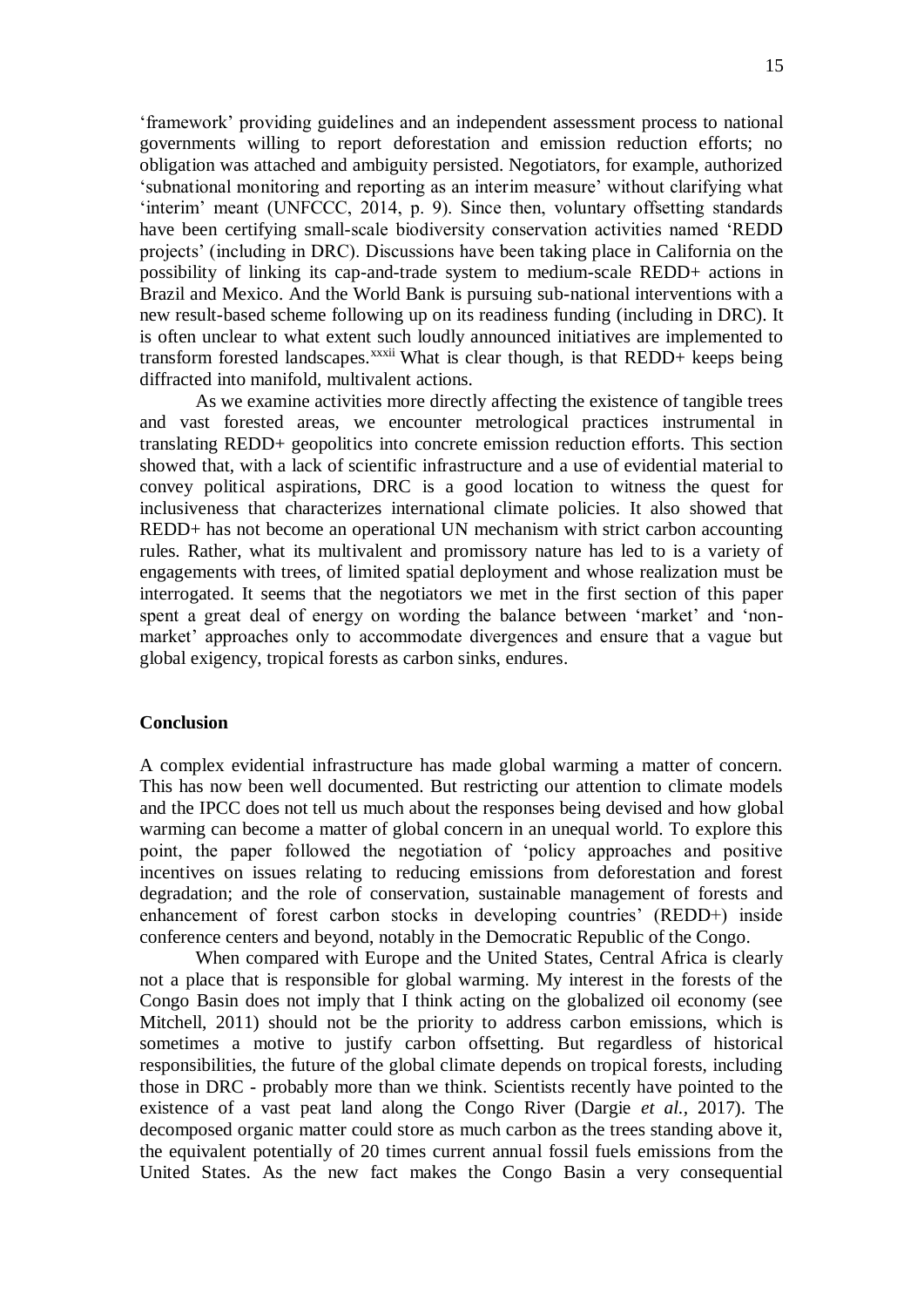'framework' providing guidelines and an independent assessment process to national governments willing to report deforestation and emission reduction efforts; no obligation was attached and ambiguity persisted. Negotiators, for example, authorized 'subnational monitoring and reporting as an interim measure' without clarifying what 'interim' meant (UNFCCC, 2014, p. 9). Since then, voluntary offsetting standards have been certifying small-scale biodiversity conservation activities named 'REDD projects' (including in DRC). Discussions have been taking place in California on the possibility of linking its cap-and-trade system to medium-scale REDD+ actions in Brazil and Mexico. And the World Bank is pursuing sub-national interventions with a new result-based scheme following up on its readiness funding (including in DRC). It is often unclear to what extent such loudly announced initiatives are implemented to transform forested landscapes.<sup>xxxii</sup> What is clear though, is that  $REDD+$  keeps being diffracted into manifold, multivalent actions.

As we examine activities more directly affecting the existence of tangible trees and vast forested areas, we encounter metrological practices instrumental in translating REDD+ geopolitics into concrete emission reduction efforts. This section showed that, with a lack of scientific infrastructure and a use of evidential material to convey political aspirations, DRC is a good location to witness the quest for inclusiveness that characterizes international climate policies. It also showed that REDD+ has not become an operational UN mechanism with strict carbon accounting rules. Rather, what its multivalent and promissory nature has led to is a variety of engagements with trees, of limited spatial deployment and whose realization must be interrogated. It seems that the negotiators we met in the first section of this paper spent a great deal of energy on wording the balance between 'market' and 'nonmarket' approaches only to accommodate divergences and ensure that a vague but global exigency, tropical forests as carbon sinks, endures.

## **Conclusion**

A complex evidential infrastructure has made global warming a matter of concern. This has now been well documented. But restricting our attention to climate models and the IPCC does not tell us much about the responses being devised and how global warming can become a matter of global concern in an unequal world. To explore this point, the paper followed the negotiation of 'policy approaches and positive incentives on issues relating to reducing emissions from deforestation and forest degradation; and the role of conservation, sustainable management of forests and enhancement of forest carbon stocks in developing countries' (REDD+) inside conference centers and beyond, notably in the Democratic Republic of the Congo.

When compared with Europe and the United States, Central Africa is clearly not a place that is responsible for global warming. My interest in the forests of the Congo Basin does not imply that I think acting on the globalized oil economy (see Mitchell, 2011) should not be the priority to address carbon emissions, which is sometimes a motive to justify carbon offsetting. But regardless of historical responsibilities, the future of the global climate depends on tropical forests, including those in DRC - probably more than we think. Scientists recently have pointed to the existence of a vast peat land along the Congo River (Dargie *et al.,* 2017). The decomposed organic matter could store as much carbon as the trees standing above it, the equivalent potentially of 20 times current annual fossil fuels emissions from the United States. As the new fact makes the Congo Basin a very consequential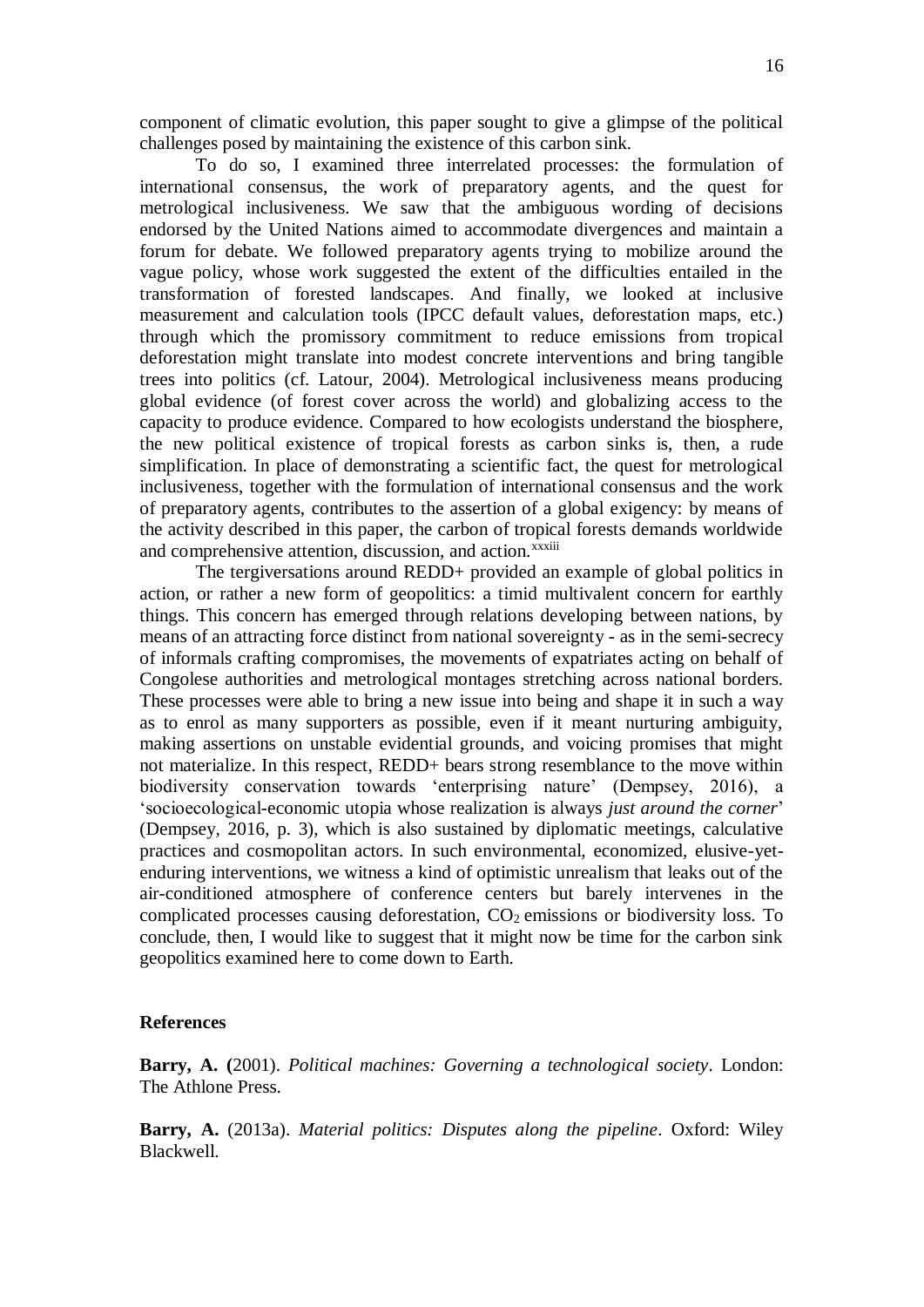component of climatic evolution, this paper sought to give a glimpse of the political challenges posed by maintaining the existence of this carbon sink.

To do so, I examined three interrelated processes: the formulation of international consensus, the work of preparatory agents, and the quest for metrological inclusiveness. We saw that the ambiguous wording of decisions endorsed by the United Nations aimed to accommodate divergences and maintain a forum for debate. We followed preparatory agents trying to mobilize around the vague policy, whose work suggested the extent of the difficulties entailed in the transformation of forested landscapes. And finally, we looked at inclusive measurement and calculation tools (IPCC default values, deforestation maps, etc.) through which the promissory commitment to reduce emissions from tropical deforestation might translate into modest concrete interventions and bring tangible trees into politics (cf. Latour, 2004). Metrological inclusiveness means producing global evidence (of forest cover across the world) and globalizing access to the capacity to produce evidence. Compared to how ecologists understand the biosphere, the new political existence of tropical forests as carbon sinks is, then, a rude simplification. In place of demonstrating a scientific fact, the quest for metrological inclusiveness, together with the formulation of international consensus and the work of preparatory agents, contributes to the assertion of a global exigency: by means of the activity described in this paper, the carbon of tropical forests demands worldwide and comprehensive attention, discussion, and action.<sup>xxxiii</sup>

The tergiversations around REDD+ provided an example of global politics in action, or rather a new form of geopolitics: a timid multivalent concern for earthly things. This concern has emerged through relations developing between nations, by means of an attracting force distinct from national sovereignty - as in the semi-secrecy of informals crafting compromises, the movements of expatriates acting on behalf of Congolese authorities and metrological montages stretching across national borders. These processes were able to bring a new issue into being and shape it in such a way as to enrol as many supporters as possible, even if it meant nurturing ambiguity, making assertions on unstable evidential grounds, and voicing promises that might not materialize. In this respect, REDD+ bears strong resemblance to the move within biodiversity conservation towards 'enterprising nature' (Dempsey, 2016), a 'socioecological-economic utopia whose realization is always *just around the corner*' (Dempsey, 2016, p. 3), which is also sustained by diplomatic meetings, calculative practices and cosmopolitan actors. In such environmental, economized, elusive-yetenduring interventions, we witness a kind of optimistic unrealism that leaks out of the air-conditioned atmosphere of conference centers but barely intervenes in the complicated processes causing deforestation,  $CO<sub>2</sub>$  emissions or biodiversity loss. To conclude, then, I would like to suggest that it might now be time for the carbon sink geopolitics examined here to come down to Earth.

#### **References**

**Barry, A. (**2001). *Political machines: Governing a technological society*. London: The Athlone Press.

**Barry, A.** (2013a). *Material politics: Disputes along the pipeline*. Oxford: Wiley Blackwell.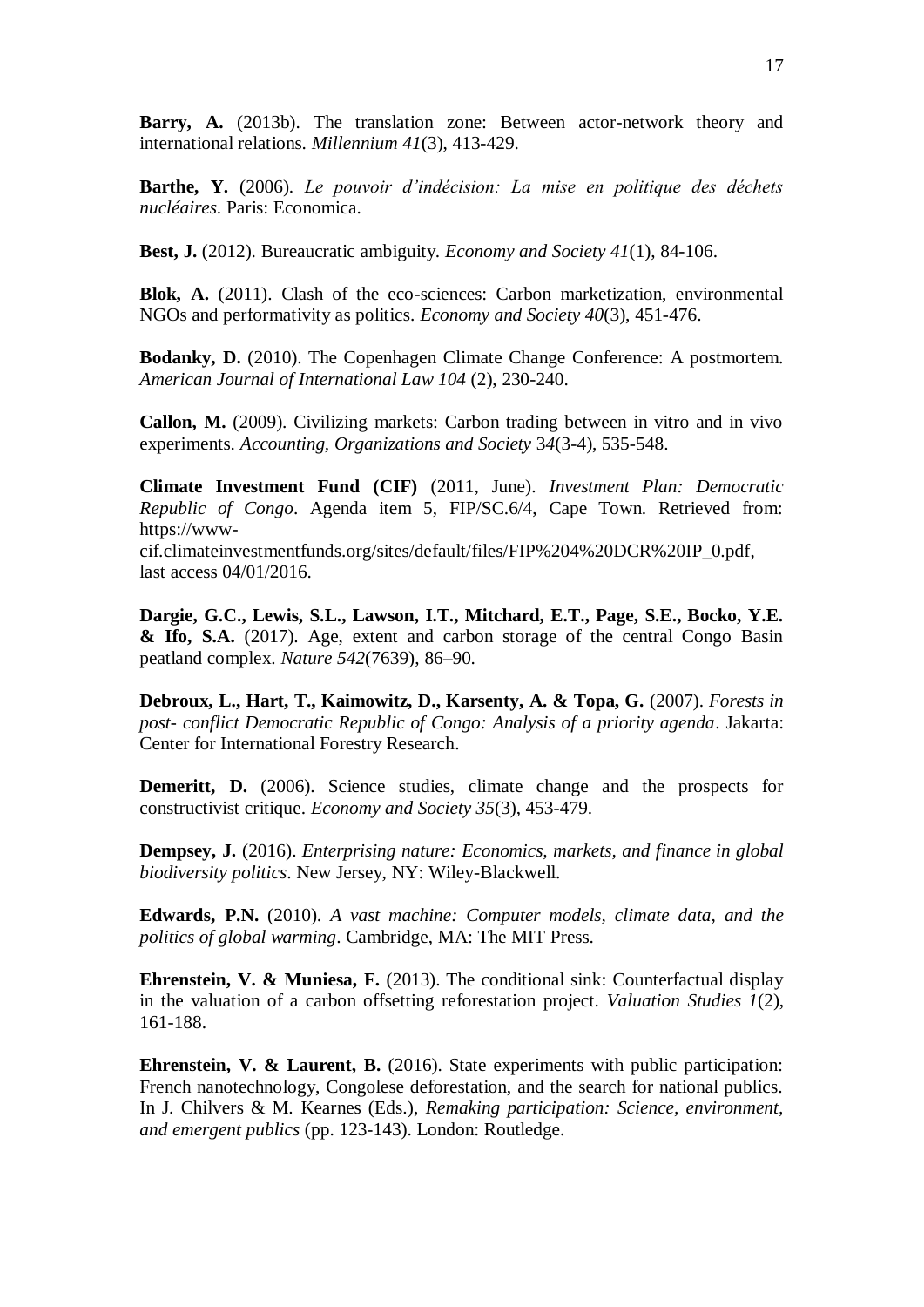**Barry, A.** (2013b). The translation zone: Between actor-network theory and international relations. *Millennium 41*(3), 413-429.

**Barthe, Y.** (2006). *Le pouvoir d'indécision: La mise en politique des déchets nucléaires*. Paris: Economica.

**Best, J.** (2012). Bureaucratic ambiguity. *Economy and Society 41*(1), 84-106.

**Blok, A.** (2011). Clash of the eco-sciences: Carbon marketization, environmental NGOs and performativity as politics. *Economy and Society 40*(3), 451-476.

**Bodanky, D.** (2010). The Copenhagen Climate Change Conference: A postmortem. *American Journal of International Law 104* (2), 230-240.

**Callon, M.** (2009). Civilizing markets: Carbon trading between in vitro and in vivo experiments. *Accounting, Organizations and Society* 3*4*(3-4), 535-548.

**Climate Investment Fund (CIF)** (2011, June). *Investment Plan: Democratic Republic of Congo*. Agenda item 5, FIP/SC.6/4, Cape Town. Retrieved from: [https://www-](https://www-cif.climateinvestmentfunds.org/sites/default/files/FIP%25204%2520DCR%2520IP_0.pdf)

[cif.climateinvestmentfunds.org/sites/default/files/FIP%204%20DCR%20IP\\_0.pdf,](https://www-cif.climateinvestmentfunds.org/sites/default/files/FIP%25204%2520DCR%2520IP_0.pdf) last access 04/01/2016.

**Dargie, G.C., Lewis, S.L., Lawson, I.T., Mitchard, E.T., Page, S.E., Bocko, Y.E. & Ifo, S.A.** (2017). Age, extent and carbon storage of the central Congo Basin peatland complex. *Nature 542*(7639), 86–90.

**Debroux, L., Hart, T., Kaimowitz, D., Karsenty, A. & Topa, G.** (2007). *Forests in post- conflict Democratic Republic of Congo: Analysis of a priority agenda*. Jakarta: Center for International Forestry Research.

**Demeritt, D.** (2006). Science studies, climate change and the prospects for constructivist critique. *Economy and Society 35*(3), 453-479.

**Dempsey, J.** (2016). *Enterprising nature: Economics, markets, and finance in global biodiversity politics*. New Jersey, NY: Wiley-Blackwell.

**Edwards, P.N.** (2010). *A vast machine: Computer models, climate data, and the politics of global warming*. Cambridge, MA: The MIT Press.

**Ehrenstein, V. & Muniesa, F.** (2013). The conditional sink: Counterfactual display in the valuation of a carbon offsetting reforestation project. *Valuation Studies 1*(2), 161-188.

**Ehrenstein, V. & Laurent, B.** (2016). State experiments with public participation: French nanotechnology, Congolese deforestation, and the search for national publics. In J. Chilvers & M. Kearnes (Eds.), *Remaking participation: Science, environment, and emergent publics* (pp. 123-143). London: Routledge.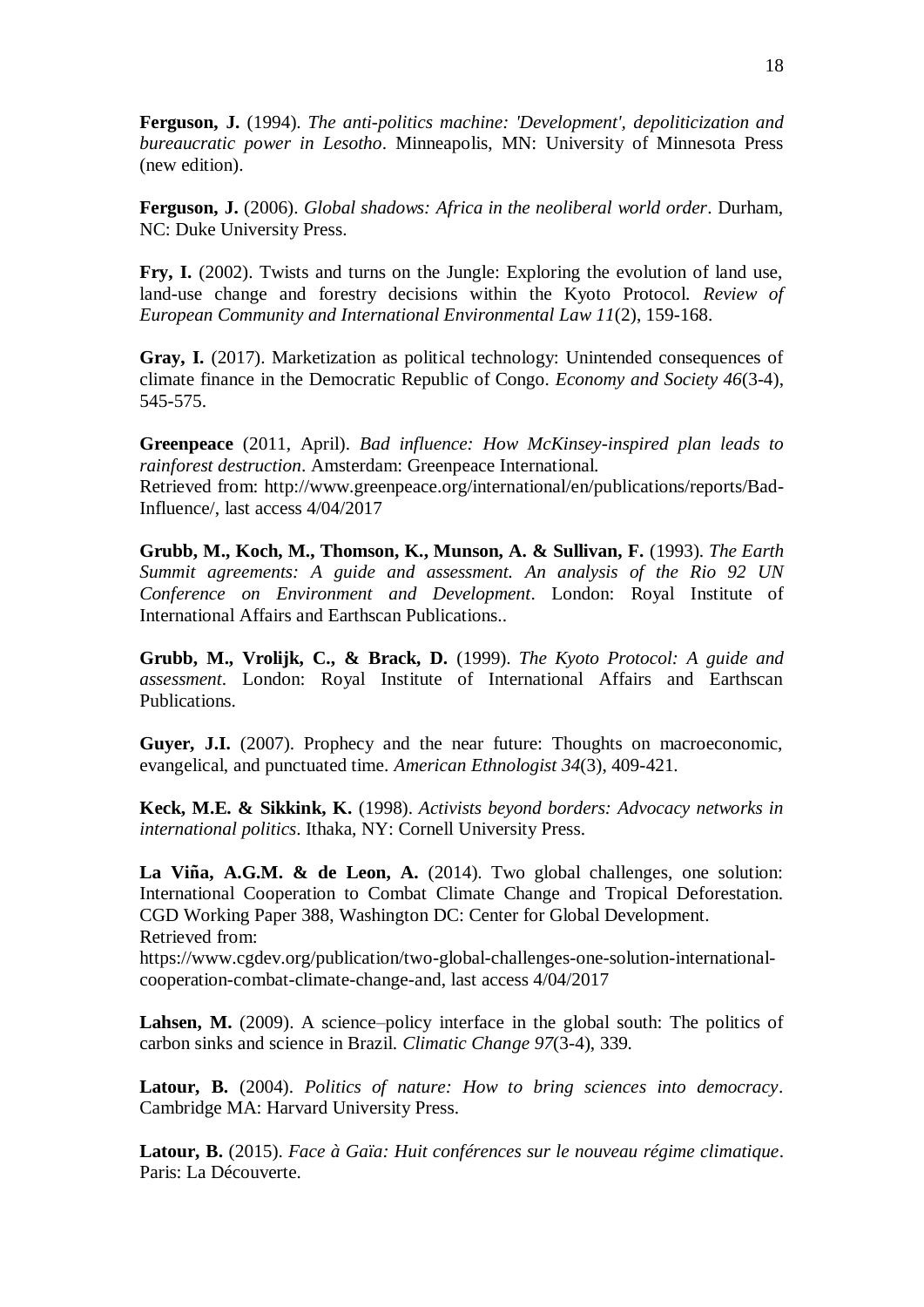**Ferguson, J.** (1994). *The anti-politics machine: 'Development', depoliticization and bureaucratic power in Lesotho*. Minneapolis, MN: University of Minnesota Press (new edition).

**Ferguson, J.** (2006). *Global shadows: Africa in the neoliberal world order*. Durham, NC: Duke University Press.

**Fry, I.** (2002). Twists and turns on the Jungle: Exploring the evolution of land use, land-use change and forestry decisions within the Kyoto Protocol. *Review of European Community and International Environmental Law 11*(2), 159-168.

**Gray, I.** (2017). Marketization as political technology: Unintended consequences of climate finance in the Democratic Republic of Congo. *Economy and Society 46*(3-4), 545-575.

**Greenpeace** (2011, April). *Bad influence: How McKinsey-inspired plan leads to rainforest destruction*. Amsterdam: Greenpeace International. Retrieved from: [http://www.greenpeace.org/international/en/publications/reports/Bad-](http://www.greenpeace.org/international/en/publications/reports/Bad-Influence/)[Influence/,](http://www.greenpeace.org/international/en/publications/reports/Bad-Influence/) last access 4/04/2017

**Grubb, M., Koch, M., Thomson, K., Munson, A. & Sullivan, F.** (1993). *The Earth Summit agreements: A guide and assessment. An analysis of the Rio 92 UN Conference on Environment and Development*. London: Royal Institute of International Affairs and Earthscan Publications..

**Grubb, M., Vrolijk, C., & Brack, D.** (1999). *The Kyoto Protocol: A guide and assessment*. London: Royal Institute of International Affairs and Earthscan Publications.

Guyer, J.I. (2007). Prophecy and the near future: Thoughts on macroeconomic, evangelical, and punctuated time. *American Ethnologist 34*(3), 409-421.

**Keck, M.E. & Sikkink, K.** (1998). *Activists beyond borders: Advocacy networks in international politics*. Ithaka, NY: Cornell University Press.

**La Viña, A.G.M. & de Leon, A.** (2014). Two global challenges, one solution: International Cooperation to Combat Climate Change and Tropical Deforestation. CGD Working Paper 388, Washington DC: Center for Global Development. Retrieved from:

[https://www.cgdev.org/publication/two-global-challenges-one-solution-international](https://www.cgdev.org/publication/two-global-challenges-one-solution-international-cooperation-combat-climate-change-and)[cooperation-combat-climate-change-and,](https://www.cgdev.org/publication/two-global-challenges-one-solution-international-cooperation-combat-climate-change-and) last access 4/04/2017

Lahsen, M. (2009). A science–policy interface in the global south: The politics of carbon sinks and science in Brazil. *Climatic Change 97*(3-4), 339.

**Latour, B.** (2004). *Politics of nature: How to bring sciences into democracy*. Cambridge MA: Harvard University Press.

**Latour, B.** (2015). *Face à Gaïa: Huit conférences sur le nouveau régime climatique*. Paris: La Découverte.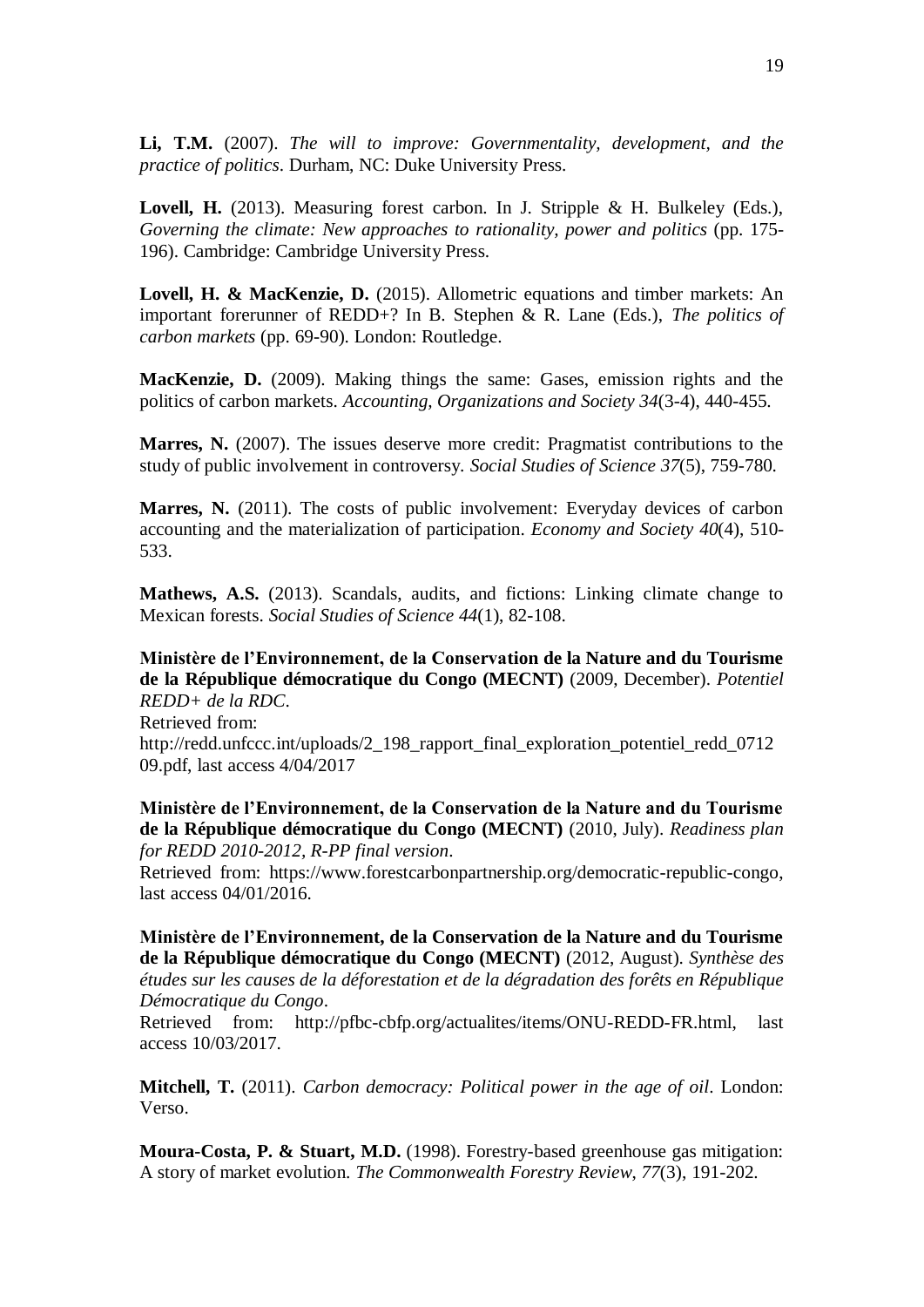**Li, T.M.** (2007). *The will to improve: Governmentality, development, and the practice of politics*. Durham, NC: Duke University Press.

**Lovell, H.** (2013). Measuring forest carbon. In J. Stripple & H. Bulkeley (Eds.), *Governing the climate: New approaches to rationality, power and politics* (pp. 175- 196). Cambridge: Cambridge University Press.

**Lovell, H. & MacKenzie, D.** (2015). Allometric equations and timber markets: An important forerunner of REDD+? In B. Stephen & R. Lane (Eds.), *The politics of carbon markets* (pp. 69-90). London: Routledge.

**MacKenzie, D.** (2009). Making things the same: Gases, emission rights and the politics of carbon markets. *Accounting, Organizations and Society 34*(3-4), 440-455.

**Marres, N.** (2007). The issues deserve more credit: Pragmatist contributions to the study of public involvement in controversy. *Social Studies of Science 37*(5), 759-780.

**Marres, N.** (2011). The costs of public involvement: Everyday devices of carbon accounting and the materialization of participation. *Economy and Society 40*(4), 510- 533.

**Mathews, A.S.** (2013). Scandals, audits, and fictions: Linking climate change to Mexican forests. *Social Studies of Science 44*(1), 82-108.

**Ministère de l'Environnement, de la Conservation de la Nature and du Tourisme de la République démocratique du Congo (MECNT)** (2009, December). *Potentiel REDD+ de la RDC*.

Retrieved from: [http://redd.unfccc.int/uploads/2\\_198\\_rapport\\_final\\_exploration\\_potentiel\\_redd\\_0712](http://redd.unfccc.int/uploads/2_198_rapport_final_exploration_potentiel_redd_071209.pdf) [09.pdf,](http://redd.unfccc.int/uploads/2_198_rapport_final_exploration_potentiel_redd_071209.pdf) last access 4/04/2017

**Ministère de l'Environnement, de la Conservation de la Nature and du Tourisme de la République démocratique du Congo (MECNT)** (2010, July). *Readiness plan for REDD 2010-2012, R-PP final version*.

Retrieved from: [https://www.forestcarbonpartnership.org/democratic-republic-congo,](https://www.forestcarbonpartnership.org/democratic-republic-congo) last access 04/01/2016.

**Ministère de l'Environnement, de la Conservation de la Nature and du Tourisme de la République démocratique du Congo (MECNT)** (2012, August). *Synthèse des études sur les causes de la déforestation et de la dégradation des forêts en République Démocratique du Congo*.

Retrieved from: [http://pfbc-cbfp.org/actualites/items/ONU-REDD-FR.html,](http://pfbc-cbfp.org/actualites/items/ONU-REDD-FR.html) last access 10/03/2017.

**Mitchell, T.** (2011). *Carbon democracy: Political power in the age of oil*. London: Verso.

**Moura-Costa, P. & Stuart, M.D.** (1998). Forestry-based greenhouse gas mitigation: A story of market evolution. *The Commonwealth Forestry Review*, *77*(3), 191-202.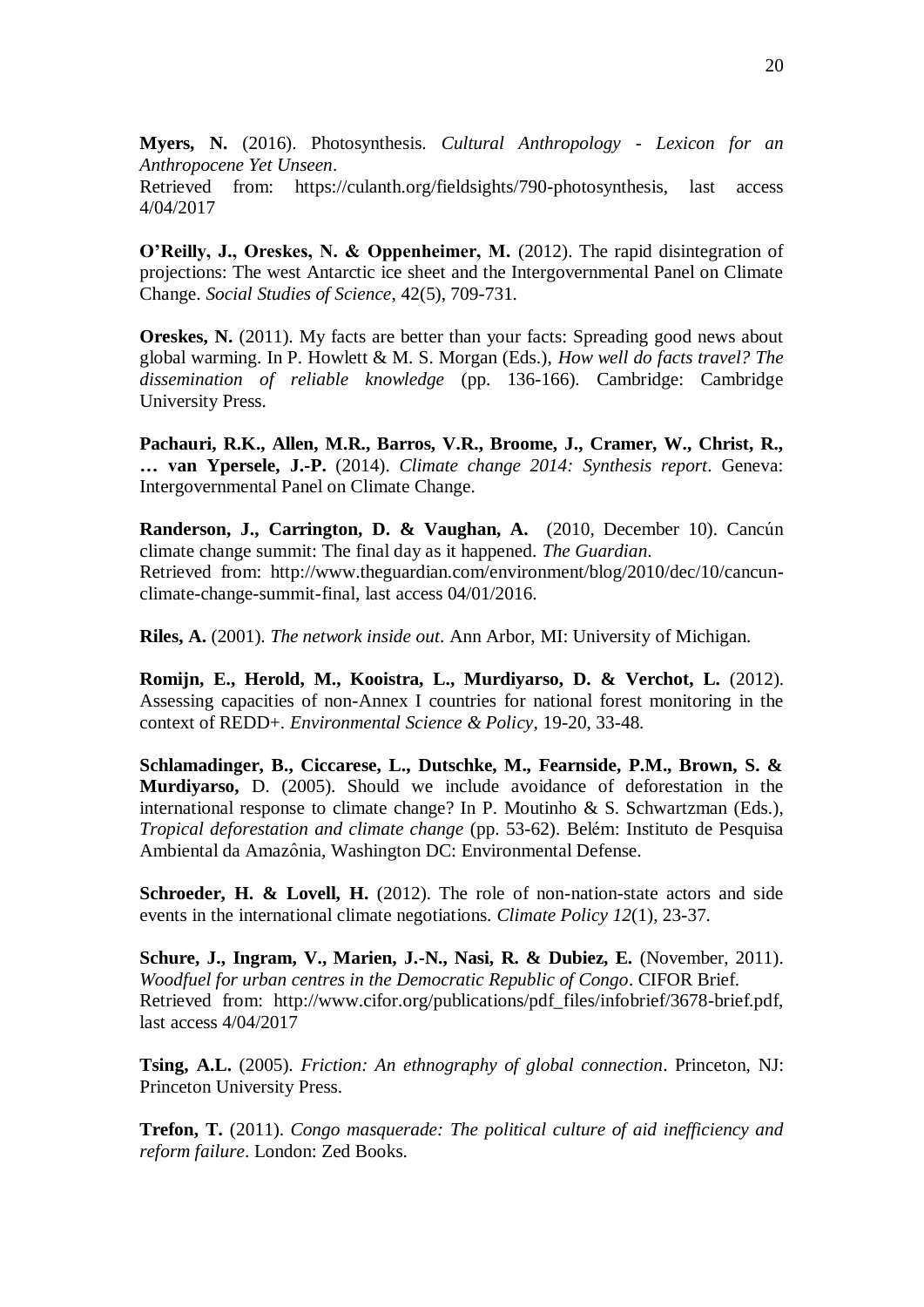**Myers, N.** (2016). Photosynthesis. *Cultural Anthropology - Lexicon for an Anthropocene Yet Unseen*.

Retrieved from: [https://culanth.org/fieldsights/790-photosynthesis,](https://culanth.org/fieldsights/790-photosynthesis) last access 4/04/2017

**O'Reilly, J., Oreskes, N. & Oppenheimer, M.** (2012). The rapid disintegration of projections: The west Antarctic ice sheet and the Intergovernmental Panel on Climate Change. *Social Studies of Science*, 42(5), 709-731.

**Oreskes, N.** (2011). My facts are better than your facts: Spreading good news about global warming. In P. Howlett & M. S. Morgan (Eds.), *How well do facts travel? The dissemination of reliable knowledge* (pp. 136-166)*.* Cambridge: Cambridge University Press.

**Pachauri, R.K., Allen, M.R., Barros, V.R., Broome, J., Cramer, W., Christ, R., … van Ypersele, J.-P.** (2014). *Climate change 2014: Synthesis report*. Geneva: Intergovernmental Panel on Climate Change.

**Randerson, J., Carrington, D. & Vaughan, A.** (2010, December 10). Cancún climate change summit: The final day as it happened. *The Guardian*. Retrieved from: [http://www.theguardian.com/environment/blog/2010/dec/10/cancun](http://www.theguardian.com/environment/blog/2010/dec/10/cancun-climate-change-summit-final)[climate-change-summit-final,](http://www.theguardian.com/environment/blog/2010/dec/10/cancun-climate-change-summit-final) last access 04/01/2016.

**Riles, A.** (2001). *The network inside out*. Ann Arbor, MI: University of Michigan.

**Romijn, E., Herold, M., Kooistra, L., Murdiyarso, D. & Verchot, L.** (2012). Assessing capacities of non-Annex I countries for national forest monitoring in the context of REDD+. *Environmental Science & Policy*, 19-20, 33-48.

**Schlamadinger, B., Ciccarese, L., Dutschke, M., Fearnside, P.M., Brown, S. & Murdiyarso,** D. (2005). Should we include avoidance of deforestation in the international response to climate change? In P. Moutinho & S. Schwartzman (Eds.), *Tropical deforestation and climate change* (pp. 53-62). Belém: Instituto de Pesquisa Ambiental da Amazônia, Washington DC: Environmental Defense.

**Schroeder, H. & Lovell, H.** (2012). The role of non-nation-state actors and side events in the international climate negotiations. *Climate Policy 12*(1), 23-37.

**Schure, J., Ingram, V., Marien, J.-N., Nasi, R. & Dubiez, E.** (November, 2011). *Woodfuel for urban centres in the Democratic Republic of Congo*. CIFOR Brief. Retrieved from: [http://www.cifor.org/publications/pdf\\_files/infobrief/3678-brief.pdf,](http://www.cifor.org/publications/pdf_files/infobrief/3678-brief.pdf) last access 4/04/2017

**Tsing, A.L.** (2005). *Friction: An ethnography of global connection*. Princeton, NJ: Princeton University Press.

**Trefon, T.** (2011). *Congo masquerade: The political culture of aid inefficiency and reform failure*. London: Zed Books.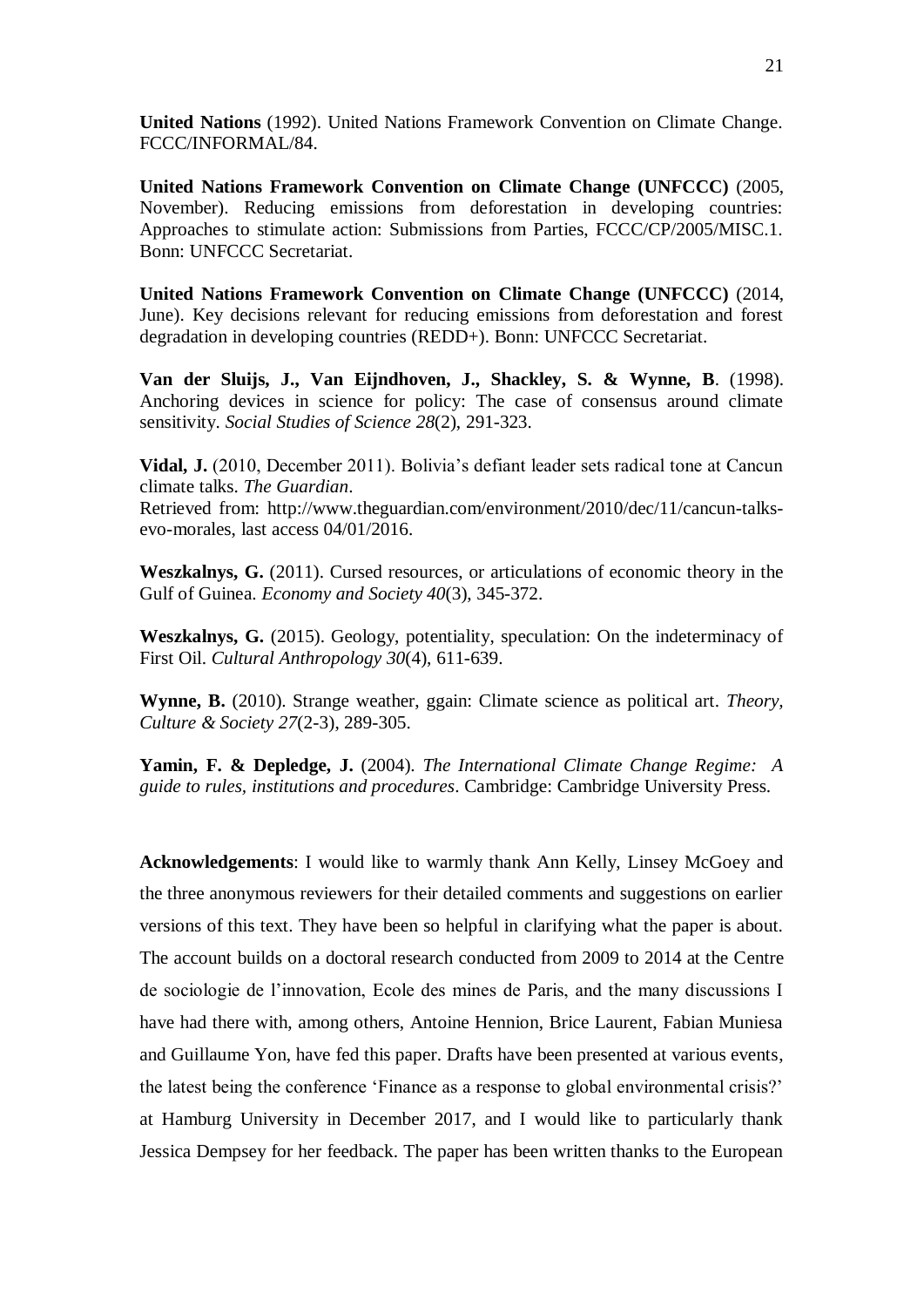**United Nations** (1992). United Nations Framework Convention on Climate Change. FCCC/INFORMAL/84.

**United Nations Framework Convention on Climate Change (UNFCCC)** (2005, November). Reducing emissions from deforestation in developing countries: Approaches to stimulate action: Submissions from Parties, FCCC/CP/2005/MISC.1. Bonn: UNFCCC Secretariat.

**United Nations Framework Convention on Climate Change (UNFCCC)** (2014, June). Key decisions relevant for reducing emissions from deforestation and forest degradation in developing countries (REDD+). Bonn: UNFCCC Secretariat.

**Van der Sluijs, J., Van Eijndhoven, J., Shackley, S. & Wynne, B**. (1998). Anchoring devices in science for policy: The case of consensus around climate sensitivity. *Social Studies of Science 28*(2), 291-323.

**Vidal, J.** (2010, December 2011). Bolivia's defiant leader sets radical tone at Cancun climate talks. *The Guardian*.

Retrieved from: [http://www.theguardian.com/environment/2010/dec/11/cancun-talks](http://www.theguardian.com/environment/2010/dec/11/cancun-talks-evo-morales)[evo-morales,](http://www.theguardian.com/environment/2010/dec/11/cancun-talks-evo-morales) last access 04/01/2016.

**Weszkalnys, G.** (2011). Cursed resources, or articulations of economic theory in the Gulf of Guinea. *Economy and Society 40*(3), 345-372.

**Weszkalnys, G.** (2015). Geology, potentiality, speculation: On the indeterminacy of First Oil. *Cultural Anthropology 30*(4), 611-639.

**Wynne, B.** (2010). Strange weather, ggain: Climate science as political art. *Theory, Culture & Society 27*(2-3), 289-305.

**Yamin, F. & Depledge, J.** (2004). *The International Climate Change Regime: A guide to rules, institutions and procedures*. Cambridge: Cambridge University Press.

**Acknowledgements**: I would like to warmly thank Ann Kelly, Linsey McGoey and the three anonymous reviewers for their detailed comments and suggestions on earlier versions of this text. They have been so helpful in clarifying what the paper is about. The account builds on a doctoral research conducted from 2009 to 2014 at the Centre de sociologie de l'innovation, Ecole des mines de Paris, and the many discussions I have had there with, among others, Antoine Hennion, Brice Laurent, Fabian Muniesa and Guillaume Yon, have fed this paper. Drafts have been presented at various events, the latest being the conference 'Finance as a response to global environmental crisis?' at Hamburg University in December 2017, and I would like to particularly thank Jessica Dempsey for her feedback. The paper has been written thanks to the European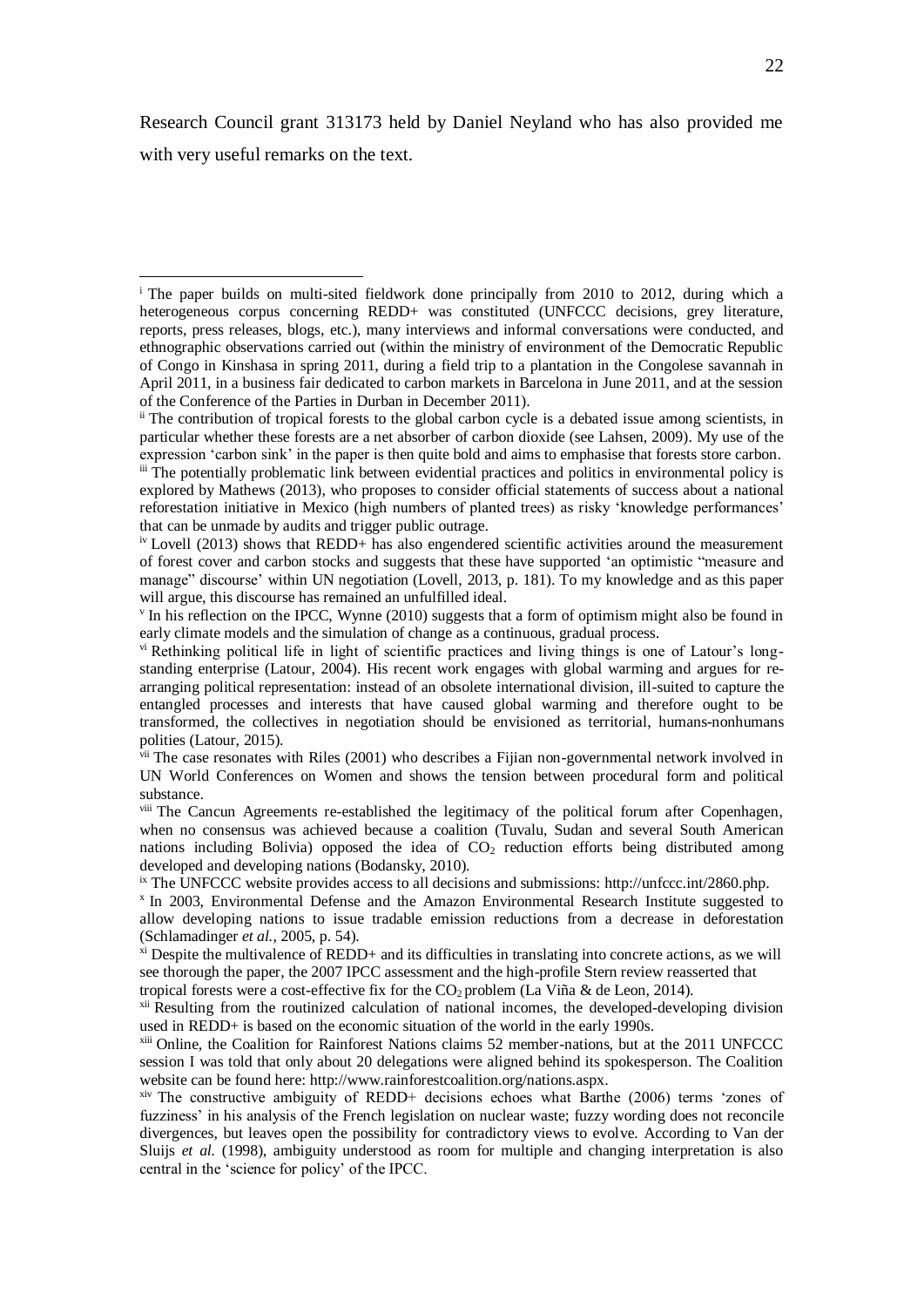Research Council grant 313173 held by Daniel Neyland who has also provided me with very useful remarks on the text.

 $\overline{a}$ 

<sup>&</sup>lt;sup>i</sup> The paper builds on multi-sited fieldwork done principally from 2010 to 2012, during which a heterogeneous corpus concerning REDD+ was constituted (UNFCCC decisions, grey literature, reports, press releases, blogs, etc.), many interviews and informal conversations were conducted, and ethnographic observations carried out (within the ministry of environment of the Democratic Republic of Congo in Kinshasa in spring 2011, during a field trip to a plantation in the Congolese savannah in April 2011, in a business fair dedicated to carbon markets in Barcelona in June 2011, and at the session of the Conference of the Parties in Durban in December 2011).

ii The contribution of tropical forests to the global carbon cycle is a debated issue among scientists, in particular whether these forests are a net absorber of carbon dioxide (see Lahsen, 2009). My use of the expression 'carbon sink' in the paper is then quite bold and aims to emphasise that forests store carbon. iii The potentially problematic link between evidential practices and politics in environmental policy is explored by Mathews (2013), who proposes to consider official statements of success about a national reforestation initiative in Mexico (high numbers of planted trees) as risky 'knowledge performances' that can be unmade by audits and trigger public outrage.

iv Lovell (2013) shows that REDD+ has also engendered scientific activities around the measurement of forest cover and carbon stocks and suggests that these have supported 'an optimistic "measure and manage" discourse' within UN negotiation (Lovell, 2013, p. 181). To my knowledge and as this paper will argue, this discourse has remained an unfulfilled ideal.

v In his reflection on the IPCC, Wynne (2010) suggests that a form of optimism might also be found in early climate models and the simulation of change as a continuous, gradual process.

vi Rethinking political life in light of scientific practices and living things is one of Latour's longstanding enterprise (Latour, 2004). His recent work engages with global warming and argues for rearranging political representation: instead of an obsolete international division, ill-suited to capture the entangled processes and interests that have caused global warming and therefore ought to be transformed, the collectives in negotiation should be envisioned as territorial, humans-nonhumans polities (Latour, 2015).

vii The case resonates with Riles (2001) who describes a Fijian non-governmental network involved in UN World Conferences on Women and shows the tension between procedural form and political substance.

viii The Cancun Agreements re-established the legitimacy of the political forum after Copenhagen, when no consensus was achieved because a coalition (Tuvalu, Sudan and several South American nations including Bolivia) opposed the idea of  $CO<sub>2</sub>$  reduction efforts being distributed among developed and developing nations (Bodansky, 2010).

ix The UNFCCC website provides access to all decisions and submissions: [http://unfccc.int/2860.php.](http://unfccc.int/2860.php)

x In 2003, Environmental Defense and the Amazon Environmental Research Institute suggested to allow developing nations to issue tradable emission reductions from a decrease in deforestation (Schlamadinger *et al.*, 2005, p. 54).

xi Despite the multivalence of REDD+ and its difficulties in translating into concrete actions, as we will see thorough the paper, the 2007 IPCC assessment and the high-profile Stern review reasserted that

tropical forests were a cost-effective fix for the CO<sub>2</sub> problem (La Viña & de Leon, 2014).

<sup>&</sup>lt;sup>xii</sup> Resulting from the routinized calculation of national incomes, the developed-developing division used in REDD+ is based on the economic situation of the world in the early 1990s.

xiii Online, the Coalition for Rainforest Nations claims 52 member-nations, but at the 2011 UNFCCC session I was told that only about 20 delegations were aligned behind its spokesperson. The Coalition website can be found here[: http://www.rainforestcoalition.org/nations.aspx.](http://www.rainforestcoalition.org/nations.aspx)

 $x$ <sup>iv</sup> The constructive ambiguity of REDD+ decisions echoes what Barthe (2006) terms 'zones of fuzziness' in his analysis of the French legislation on nuclear waste; fuzzy wording does not reconcile divergences, but leaves open the possibility for contradictory views to evolve. According to Van der Sluijs *et al.* (1998), ambiguity understood as room for multiple and changing interpretation is also central in the 'science for policy' of the IPCC.